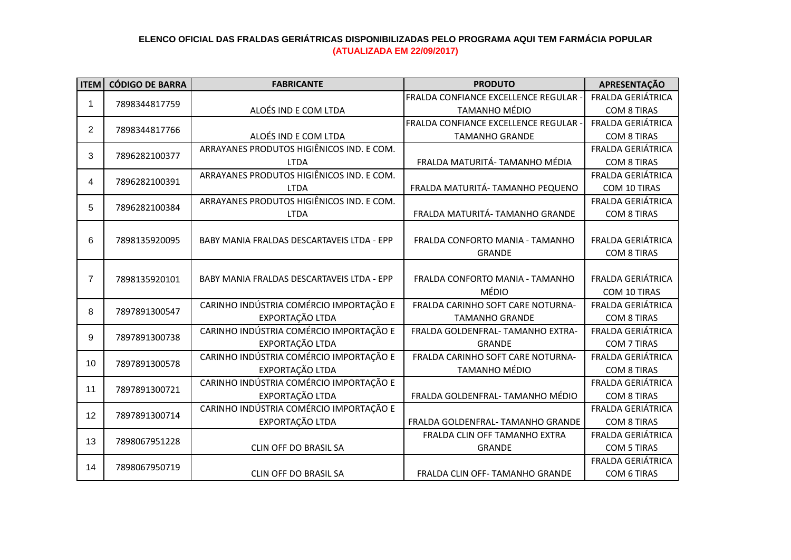| <b>ITEM</b>    | <b>CÓDIGO DE BARRA</b> | <b>FABRICANTE</b>                          | <b>PRODUTO</b>                               | APRESENTAÇÃO             |
|----------------|------------------------|--------------------------------------------|----------------------------------------------|--------------------------|
|                |                        |                                            | <b>FRALDA CONFIANCE EXCELLENCE REGULAR -</b> | <b>FRALDA GERIÁTRICA</b> |
| 1              | 7898344817759          | ALOÉS IND E COM LTDA                       | <b>TAMANHO MÉDIO</b>                         | <b>COM 8 TIRAS</b>       |
| $\overline{2}$ |                        |                                            | FRALDA CONFIANCE EXCELLENCE REGULAR -        | <b>FRALDA GERIÁTRICA</b> |
|                | 7898344817766          | ALOÉS IND E COM LTDA                       | <b>TAMANHO GRANDE</b>                        | <b>COM 8 TIRAS</b>       |
| 3              | 7896282100377          | ARRAYANES PRODUTOS HIGIÊNICOS IND. E COM.  |                                              | FRALDA GERIÁTRICA        |
|                |                        | <b>LTDA</b>                                | FRALDA MATURITÁ- TAMANHO MÉDIA               | <b>COM 8 TIRAS</b>       |
| 4              | 7896282100391          | ARRAYANES PRODUTOS HIGIÊNICOS IND. E COM.  |                                              | <b>FRALDA GERIÁTRICA</b> |
|                |                        | <b>LTDA</b>                                | FRALDA MATURITÁ- TAMANHO PEQUENO             | COM 10 TIRAS             |
| 5              | 7896282100384          | ARRAYANES PRODUTOS HIGIÊNICOS IND. E COM.  |                                              | <b>FRALDA GERIÁTRICA</b> |
|                |                        | <b>LTDA</b>                                | FRALDA MATURITÁ- TAMANHO GRANDE              | <b>COM 8 TIRAS</b>       |
|                |                        |                                            |                                              |                          |
| 6              | 7898135920095          | BABY MANIA FRALDAS DESCARTAVEIS LTDA - EPP | FRALDA CONFORTO MANIA - TAMANHO              | <b>FRALDA GERIÁTRICA</b> |
|                |                        |                                            | <b>GRANDE</b>                                | <b>COM 8 TIRAS</b>       |
|                |                        |                                            |                                              |                          |
| $\overline{7}$ | 7898135920101          | BABY MANIA FRALDAS DESCARTAVEIS LTDA - EPP | FRALDA CONFORTO MANIA - TAMANHO              | <b>FRALDA GERIÁTRICA</b> |
|                |                        |                                            | <b>MÉDIO</b>                                 | COM 10 TIRAS             |
| 8              | 7897891300547          | CARINHO INDÚSTRIA COMÉRCIO IMPORTAÇÃO E    | FRALDA CARINHO SOFT CARE NOTURNA-            | <b>FRALDA GERIÁTRICA</b> |
|                |                        | EXPORTAÇÃO LTDA                            | <b>TAMANHO GRANDE</b>                        | <b>COM 8 TIRAS</b>       |
| 9              | 7897891300738          | CARINHO INDÚSTRIA COMÉRCIO IMPORTAÇÃO E    | FRALDA GOLDENFRAL- TAMANHO EXTRA-            | FRALDA GERIÁTRICA        |
|                |                        | EXPORTAÇÃO LTDA                            | <b>GRANDE</b>                                | <b>COM 7 TIRAS</b>       |
| 10             | 7897891300578          | CARINHO INDÚSTRIA COMÉRCIO IMPORTAÇÃO E    | FRALDA CARINHO SOFT CARE NOTURNA-            | <b>FRALDA GERIÁTRICA</b> |
|                |                        | EXPORTAÇÃO LTDA                            | TAMANHO MÉDIO                                | <b>COM 8 TIRAS</b>       |
| 11             | 7897891300721          | CARINHO INDÚSTRIA COMÉRCIO IMPORTAÇÃO E    |                                              | <b>FRALDA GERIÁTRICA</b> |
|                |                        | EXPORTAÇÃO LTDA                            | FRALDA GOLDENFRAL- TAMANHO MÉDIO             | <b>COM 8 TIRAS</b>       |
| 12             | 7897891300714          | CARINHO INDÚSTRIA COMÉRCIO IMPORTAÇÃO E    |                                              | <b>FRALDA GERIÁTRICA</b> |
|                |                        | EXPORTAÇÃO LTDA                            | FRALDA GOLDENFRAL- TAMANHO GRANDE            | <b>COM 8 TIRAS</b>       |
| 13             | 7898067951228          |                                            | FRALDA CLIN OFF TAMANHO EXTRA                | <b>FRALDA GERIÁTRICA</b> |
|                |                        | CLIN OFF DO BRASIL SA                      | <b>GRANDE</b>                                | <b>COM 5 TIRAS</b>       |
| 14             | 7898067950719          |                                            |                                              | FRALDA GERIÁTRICA        |
|                |                        | <b>CLIN OFF DO BRASIL SA</b>               | FRALDA CLIN OFF- TAMANHO GRANDE              | COM 6 TIRAS              |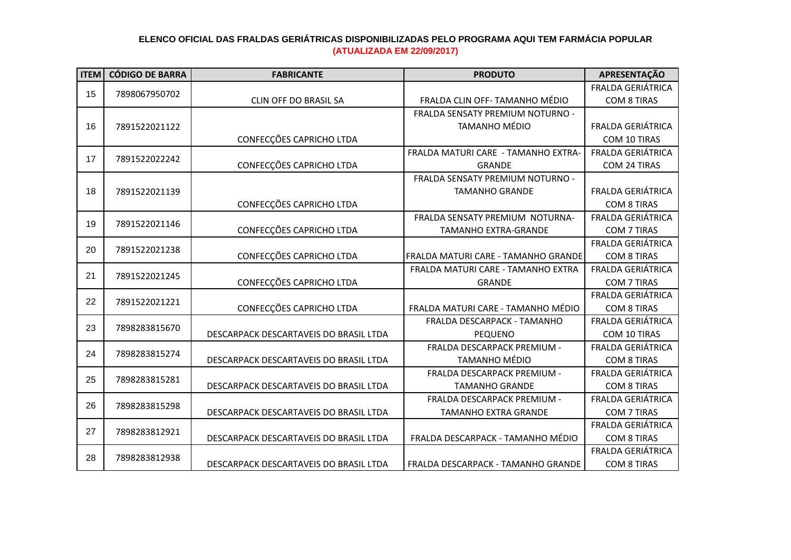| <b>ITEM</b> | <b>CÓDIGO DE BARRA</b> | <b>FABRICANTE</b>                      | <b>PRODUTO</b>                      | APRESENTAÇÃO             |
|-------------|------------------------|----------------------------------------|-------------------------------------|--------------------------|
| 15          | 7898067950702          |                                        |                                     | FRALDA GERIÁTRICA        |
|             |                        | <b>CLIN OFF DO BRASIL SA</b>           | FRALDA CLIN OFF- TAMANHO MÉDIO      | <b>COM 8 TIRAS</b>       |
|             |                        |                                        | FRALDA SENSATY PREMIUM NOTURNO -    |                          |
| 16          | 7891522021122          |                                        | <b>TAMANHO MÉDIO</b>                | FRALDA GERIÁTRICA        |
|             |                        | CONFECÇÕES CAPRICHO LTDA               |                                     | COM 10 TIRAS             |
| 17          | 7891522022242          |                                        | FRALDA MATURI CARE - TAMANHO EXTRA- | <b>FRALDA GERIÁTRICA</b> |
|             |                        | CONFECÇÕES CAPRICHO LTDA               | <b>GRANDE</b>                       | COM 24 TIRAS             |
|             |                        |                                        | FRALDA SENSATY PREMIUM NOTURNO -    |                          |
| 18          | 7891522021139          |                                        | <b>TAMANHO GRANDE</b>               | FRALDA GERIÁTRICA        |
|             |                        | CONFECÇÕES CAPRICHO LTDA               |                                     | <b>COM 8 TIRAS</b>       |
| 19          | 7891522021146          |                                        | FRALDA SENSATY PREMIUM NOTURNA-     | FRALDA GERIÁTRICA        |
|             |                        | CONFECÇÕES CAPRICHO LTDA               | <b>TAMANHO EXTRA-GRANDE</b>         | <b>COM 7 TIRAS</b>       |
| 20          | 7891522021238          |                                        |                                     | FRALDA GERIÁTRICA        |
|             |                        | CONFECÇÕES CAPRICHO LTDA               | FRALDA MATURI CARE - TAMANHO GRANDE | <b>COM 8 TIRAS</b>       |
| 21          | 7891522021245          |                                        | FRALDA MATURI CARE - TAMANHO EXTRA  | <b>FRALDA GERIÁTRICA</b> |
|             |                        | CONFECÇÕES CAPRICHO LTDA               | <b>GRANDE</b>                       | COM 7 TIRAS              |
| 22          | 7891522021221          |                                        |                                     | FRALDA GERIÁTRICA        |
|             |                        | CONFECÇÕES CAPRICHO LTDA               | FRALDA MATURI CARE - TAMANHO MÉDIO  | <b>COM 8 TIRAS</b>       |
| 23          | 7898283815670          |                                        | FRALDA DESCARPACK - TAMANHO         | FRALDA GERIÁTRICA        |
|             |                        | DESCARPACK DESCARTAVEIS DO BRASIL LTDA | <b>PEQUENO</b>                      | COM 10 TIRAS             |
| 24          | 7898283815274          |                                        | FRALDA DESCARPACK PREMIUM -         | FRALDA GERIÁTRICA        |
|             |                        | DESCARPACK DESCARTAVEIS DO BRASIL LTDA | <b>TAMANHO MÉDIO</b>                | <b>COM 8 TIRAS</b>       |
| 25          | 7898283815281          |                                        | FRALDA DESCARPACK PREMIUM -         | <b>FRALDA GERIÁTRICA</b> |
|             |                        | DESCARPACK DESCARTAVEIS DO BRASIL LTDA | <b>TAMANHO GRANDE</b>               | <b>COM 8 TIRAS</b>       |
| 26          | 7898283815298          |                                        | FRALDA DESCARPACK PREMIUM -         | <b>FRALDA GERIÁTRICA</b> |
|             |                        | DESCARPACK DESCARTAVEIS DO BRASIL LTDA | <b>TAMANHO EXTRA GRANDE</b>         | COM 7 TIRAS              |
| 27          | 7898283812921          |                                        |                                     | <b>FRALDA GERIÁTRICA</b> |
|             |                        | DESCARPACK DESCARTAVEIS DO BRASIL LTDA | FRALDA DESCARPACK - TAMANHO MÉDIO   | <b>COM 8 TIRAS</b>       |
| 28          | 7898283812938          |                                        |                                     | FRALDA GERIÁTRICA        |
|             |                        | DESCARPACK DESCARTAVEIS DO BRASIL LTDA | FRALDA DESCARPACK - TAMANHO GRANDE  | <b>COM 8 TIRAS</b>       |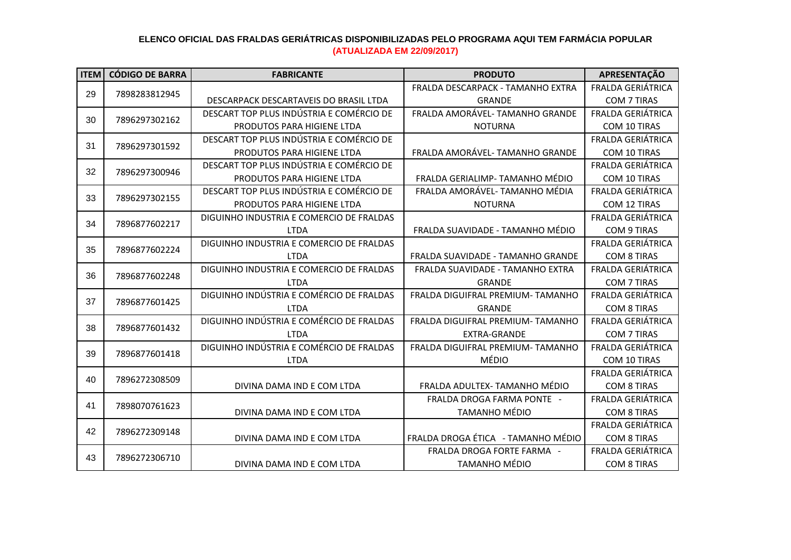| <b>ITEM</b> | <b>CÓDIGO DE BARRA</b> | <b>FABRICANTE</b>                        | <b>PRODUTO</b>                     | APRESENTAÇÃO             |
|-------------|------------------------|------------------------------------------|------------------------------------|--------------------------|
| 29          |                        |                                          | FRALDA DESCARPACK - TAMANHO EXTRA  | <b>FRALDA GERIÁTRICA</b> |
|             | 7898283812945          | DESCARPACK DESCARTAVEIS DO BRASIL LTDA   | <b>GRANDE</b>                      | COM 7 TIRAS              |
|             |                        | DESCART TOP PLUS INDÚSTRIA E COMÉRCIO DE | FRALDA AMORÁVEL- TAMANHO GRANDE    | FRALDA GERIÁTRICA        |
| 30          | 7896297302162          | PRODUTOS PARA HIGIENE LTDA               | <b>NOTURNA</b>                     | COM 10 TIRAS             |
| 31          | 7896297301592          | DESCART TOP PLUS INDÚSTRIA E COMÉRCIO DE |                                    | <b>FRALDA GERIÁTRICA</b> |
|             |                        | PRODUTOS PARA HIGIENE LTDA               | FRALDA AMORÁVEL- TAMANHO GRANDE    | COM 10 TIRAS             |
| 32          | 7896297300946          | DESCART TOP PLUS INDÚSTRIA E COMÉRCIO DE |                                    | <b>FRALDA GERIÁTRICA</b> |
|             |                        | PRODUTOS PARA HIGIENE LTDA               | FRALDA GERIALIMP- TAMANHO MÉDIO    | COM 10 TIRAS             |
| 33          | 7896297302155          | DESCART TOP PLUS INDÚSTRIA E COMÉRCIO DE | FRALDA AMORÁVEL- TAMANHO MÉDIA     | FRALDA GERIÁTRICA        |
|             |                        | PRODUTOS PARA HIGIENE LTDA               | <b>NOTURNA</b>                     | COM 12 TIRAS             |
| 34          | 7896877602217          | DIGUINHO INDUSTRIA E COMERCIO DE FRALDAS |                                    | <b>FRALDA GERIÁTRICA</b> |
|             |                        | <b>LTDA</b>                              | FRALDA SUAVIDADE - TAMANHO MÉDIO   | <b>COM 9 TIRAS</b>       |
| 35          | 7896877602224          | DIGUINHO INDUSTRIA E COMERCIO DE FRALDAS |                                    | <b>FRALDA GERIÁTRICA</b> |
|             |                        | <b>LTDA</b>                              | FRALDA SUAVIDADE - TAMANHO GRANDE  | <b>COM 8 TIRAS</b>       |
| 36          | 7896877602248          | DIGUINHO INDUSTRIA E COMERCIO DE FRALDAS | FRALDA SUAVIDADE - TAMANHO EXTRA   | <b>FRALDA GERIÁTRICA</b> |
|             |                        | <b>LTDA</b>                              | <b>GRANDE</b>                      | <b>COM 7 TIRAS</b>       |
| 37          | 7896877601425          | DIGUINHO INDÚSTRIA E COMÉRCIO DE FRALDAS | FRALDA DIGUIFRAL PREMIUM-TAMANHO   | <b>FRALDA GERIÁTRICA</b> |
|             |                        | <b>LTDA</b>                              | <b>GRANDE</b>                      | <b>COM 8 TIRAS</b>       |
| 38          | 7896877601432          | DIGUINHO INDÚSTRIA E COMÉRCIO DE FRALDAS | FRALDA DIGUIFRAL PREMIUM-TAMANHO   | FRALDA GERIÁTRICA        |
|             |                        | <b>LTDA</b>                              | <b>EXTRA-GRANDE</b>                | <b>COM 7 TIRAS</b>       |
| 39          | 7896877601418          | DIGUINHO INDÚSTRIA E COMÉRCIO DE FRALDAS | FRALDA DIGUIFRAL PREMIUM- TAMANHO  | <b>FRALDA GERIÁTRICA</b> |
|             |                        | <b>LTDA</b>                              | <b>MÉDIO</b>                       | COM 10 TIRAS             |
| 40          | 7896272308509          |                                          |                                    | <b>FRALDA GERIÁTRICA</b> |
|             |                        | DIVINA DAMA IND E COM LTDA               | FRALDA ADULTEX- TAMANHO MÉDIO      | <b>COM 8 TIRAS</b>       |
| 41          | 7898070761623          |                                          | FRALDA DROGA FARMA PONTE -         | FRALDA GERIÁTRICA        |
|             |                        | DIVINA DAMA IND E COM LTDA               | <b>TAMANHO MÉDIO</b>               | <b>COM 8 TIRAS</b>       |
| 42          | 7896272309148          |                                          |                                    | <b>FRALDA GERIÁTRICA</b> |
|             |                        | DIVINA DAMA IND E COM LTDA               | FRALDA DROGA ÉTICA - TAMANHO MÉDIO | <b>COM 8 TIRAS</b>       |
| 43          | 7896272306710          |                                          | FRALDA DROGA FORTE FARMA -         | FRALDA GERIÁTRICA        |
|             |                        | DIVINA DAMA IND E COM LTDA               | <b>TAMANHO MÉDIO</b>               | <b>COM 8 TIRAS</b>       |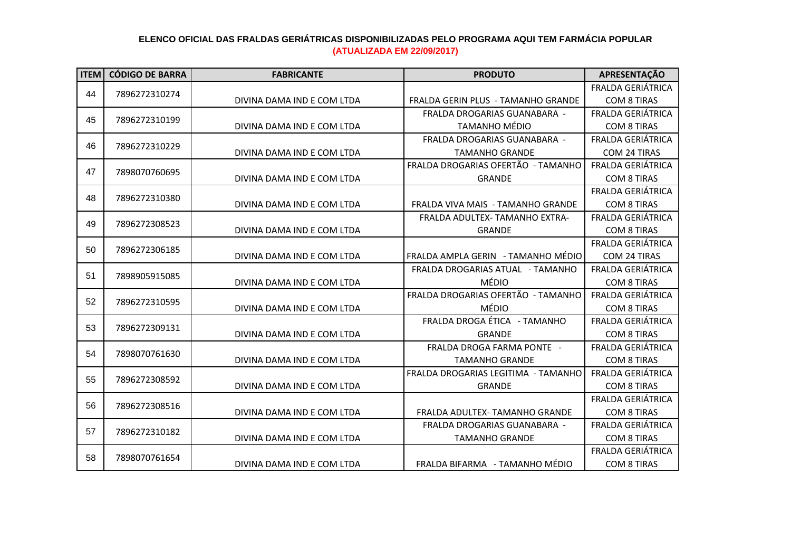| <b>ITEM</b> | <b>CÓDIGO DE BARRA</b> | <b>FABRICANTE</b>          | <b>PRODUTO</b>                        | APRESENTAÇÃO             |
|-------------|------------------------|----------------------------|---------------------------------------|--------------------------|
|             |                        |                            |                                       | <b>FRALDA GERIÁTRICA</b> |
| 44          | 7896272310274          | DIVINA DAMA IND E COM LTDA | FRALDA GERIN PLUS - TAMANHO GRANDE    | <b>COM 8 TIRAS</b>       |
| 45          |                        |                            | FRALDA DROGARIAS GUANABARA -          | FRALDA GERIÁTRICA        |
|             | 7896272310199          | DIVINA DAMA IND E COM LTDA | <b>TAMANHO MÉDIO</b>                  | <b>COM 8 TIRAS</b>       |
| 46          |                        |                            | FRALDA DROGARIAS GUANABARA -          | FRALDA GERIÁTRICA        |
|             | 7896272310229          | DIVINA DAMA IND E COM LTDA | <b>TAMANHO GRANDE</b>                 | <b>COM 24 TIRAS</b>      |
| 47          | 7898070760695          |                            | FRALDA DROGARIAS OFERTÃO - TAMANHO    | FRALDA GERIÁTRICA        |
|             |                        | DIVINA DAMA IND E COM LTDA | <b>GRANDE</b>                         | <b>COM 8 TIRAS</b>       |
| 48          | 7896272310380          |                            |                                       | FRALDA GERIÁTRICA        |
|             |                        | DIVINA DAMA IND E COM LTDA | FRALDA VIVA MAIS - TAMANHO GRANDE     | <b>COM 8 TIRAS</b>       |
| 49          | 7896272308523          |                            | <b>FRALDA ADULTEX- TAMANHO EXTRA-</b> | <b>FRALDA GERIÁTRICA</b> |
|             |                        | DIVINA DAMA IND E COM LTDA | <b>GRANDE</b>                         | <b>COM 8 TIRAS</b>       |
| 50          | 7896272306185          |                            |                                       | <b>FRALDA GERIÁTRICA</b> |
|             |                        | DIVINA DAMA IND E COM LTDA | FRALDA AMPLA GERIN - TAMANHO MÉDIO    | COM 24 TIRAS             |
| 51          | 7898905915085          |                            | FRALDA DROGARIAS ATUAL - TAMANHO      | <b>FRALDA GERIÁTRICA</b> |
|             |                        | DIVINA DAMA IND E COM LTDA | <b>MÉDIO</b>                          | <b>COM 8 TIRAS</b>       |
| 52          | 7896272310595          |                            | FRALDA DROGARIAS OFERTÃO - TAMANHO    | FRALDA GERIÁTRICA        |
|             |                        | DIVINA DAMA IND E COM LTDA | <b>MÉDIO</b>                          | <b>COM 8 TIRAS</b>       |
| 53          | 7896272309131          |                            | FRALDA DROGA ÉTICA - TAMANHO          | FRALDA GERIÁTRICA        |
|             |                        | DIVINA DAMA IND E COM LTDA | <b>GRANDE</b>                         | <b>COM 8 TIRAS</b>       |
| 54          | 7898070761630          |                            | FRALDA DROGA FARMA PONTE -            | <b>FRALDA GERIÁTRICA</b> |
|             |                        | DIVINA DAMA IND E COM LTDA | <b>TAMANHO GRANDE</b>                 | <b>COM 8 TIRAS</b>       |
| 55          | 7896272308592          |                            | FRALDA DROGARIAS LEGITIMA - TAMANHO   | FRALDA GERIÁTRICA        |
|             |                        | DIVINA DAMA IND E COM LTDA | <b>GRANDE</b>                         | <b>COM 8 TIRAS</b>       |
| 56          | 7896272308516          |                            |                                       | FRALDA GERIÁTRICA        |
|             |                        | DIVINA DAMA IND E COM LTDA | FRALDA ADULTEX- TAMANHO GRANDE        | <b>COM 8 TIRAS</b>       |
| 57          | 7896272310182          |                            | <b>FRALDA DROGARIAS GUANABARA -</b>   | <b>FRALDA GERIÁTRICA</b> |
|             |                        | DIVINA DAMA IND E COM LTDA | <b>TAMANHO GRANDE</b>                 | <b>COM 8 TIRAS</b>       |
| 58          | 7898070761654          |                            |                                       | FRALDA GERIÁTRICA        |
|             |                        | DIVINA DAMA IND E COM LTDA | FRALDA BIFARMA - TAMANHO MÉDIO        | <b>COM 8 TIRAS</b>       |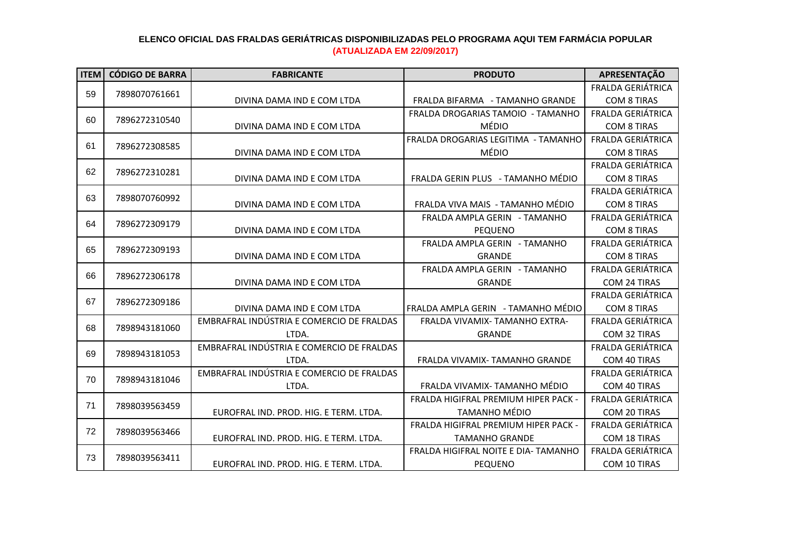| <b>ITEM</b> | <b>CÓDIGO DE BARRA</b> | <b>FABRICANTE</b>                         | <b>PRODUTO</b>                       | APRESENTAÇÃO             |
|-------------|------------------------|-------------------------------------------|--------------------------------------|--------------------------|
| 59          |                        |                                           |                                      | <b>FRALDA GERIÁTRICA</b> |
|             | 7898070761661          | DIVINA DAMA IND E COM LTDA                | FRALDA BIFARMA - TAMANHO GRANDE      | <b>COM 8 TIRAS</b>       |
|             |                        |                                           | FRALDA DROGARIAS TAMOIO - TAMANHO    | <b>FRALDA GERIÁTRICA</b> |
| 60          | 7896272310540          | DIVINA DAMA IND E COM LTDA                | MÉDIO                                | <b>COM 8 TIRAS</b>       |
| 61          |                        |                                           | FRALDA DROGARIAS LEGITIMA - TAMANHO  | FRALDA GERIÁTRICA        |
|             | 7896272308585          | DIVINA DAMA IND E COM LTDA                | MÉDIO                                | <b>COM 8 TIRAS</b>       |
| 62          |                        |                                           |                                      | FRALDA GERIÁTRICA        |
|             | 7896272310281          | DIVINA DAMA IND E COM LTDA                | FRALDA GERIN PLUS - TAMANHO MÉDIO    | <b>COM 8 TIRAS</b>       |
| 63          | 7898070760992          |                                           |                                      | FRALDA GERIÁTRICA        |
|             |                        | DIVINA DAMA IND E COM LTDA                | FRALDA VIVA MAIS - TAMANHO MÉDIO     | <b>COM 8 TIRAS</b>       |
| 64          | 7896272309179          |                                           | FRALDA AMPLA GERIN - TAMANHO         | FRALDA GERIÁTRICA        |
|             |                        | DIVINA DAMA IND E COM LTDA                | PEQUENO                              | <b>COM 8 TIRAS</b>       |
| 65          | 7896272309193          |                                           | FRALDA AMPLA GERIN - TAMANHO         | FRALDA GERIÁTRICA        |
|             |                        | DIVINA DAMA IND E COM LTDA                | <b>GRANDE</b>                        | <b>COM 8 TIRAS</b>       |
| 66          | 7896272306178          |                                           | FRALDA AMPLA GERIN - TAMANHO         | FRALDA GERIÁTRICA        |
|             |                        | DIVINA DAMA IND E COM LTDA                | <b>GRANDE</b>                        | <b>COM 24 TIRAS</b>      |
| 67          | 7896272309186          |                                           |                                      | <b>FRALDA GERIÁTRICA</b> |
|             |                        | DIVINA DAMA IND E COM LTDA                | FRALDA AMPLA GERIN - TAMANHO MÉDIO   | <b>COM 8 TIRAS</b>       |
| 68          | 7898943181060          | EMBRAFRAL INDÚSTRIA E COMERCIO DE FRALDAS | FRALDA VIVAMIX- TAMANHO EXTRA-       | FRALDA GERIÁTRICA        |
|             |                        | LTDA.                                     | <b>GRANDE</b>                        | COM 32 TIRAS             |
| 69          | 7898943181053          | EMBRAFRAL INDÚSTRIA E COMERCIO DE FRALDAS |                                      | FRALDA GERIÁTRICA        |
|             |                        | LTDA.                                     | FRALDA VIVAMIX- TAMANHO GRANDE       | COM 40 TIRAS             |
| 70          | 7898943181046          | EMBRAFRAL INDÚSTRIA E COMERCIO DE FRALDAS |                                      | FRALDA GERIÁTRICA        |
|             |                        | LTDA.                                     | FRALDA VIVAMIX- TAMANHO MÉDIO        | COM 40 TIRAS             |
| 71          | 7898039563459          |                                           | FRALDA HIGIFRAL PREMIUM HIPER PACK - | <b>FRALDA GERIÁTRICA</b> |
|             |                        | EUROFRAL IND. PROD. HIG. E TERM. LTDA.    | <b>TAMANHO MÉDIO</b>                 | COM 20 TIRAS             |
| 72          | 7898039563466          |                                           | FRALDA HIGIFRAL PREMIUM HIPER PACK - | <b>FRALDA GERIÁTRICA</b> |
|             |                        | EUROFRAL IND. PROD. HIG. E TERM. LTDA.    | <b>TAMANHO GRANDE</b>                | COM 18 TIRAS             |
| 73          | 7898039563411          |                                           | FRALDA HIGIFRAL NOITE E DIA- TAMANHO | FRALDA GERIÁTRICA        |
|             |                        | EUROFRAL IND. PROD. HIG. E TERM. LTDA.    | PEQUENO                              | COM 10 TIRAS             |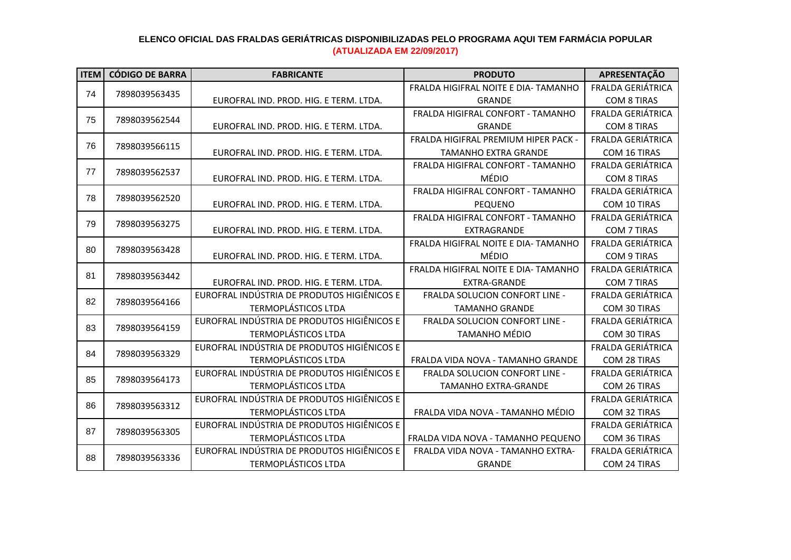| <b>ITEM</b> | <b>CÓDIGO DE BARRA</b> | <b>FABRICANTE</b>                           | <b>PRODUTO</b>                        | APRESENTAÇÃO             |
|-------------|------------------------|---------------------------------------------|---------------------------------------|--------------------------|
|             |                        |                                             | FRALDA HIGIFRAL NOITE E DIA- TAMANHO  | <b>FRALDA GERIÁTRICA</b> |
| 74          | 7898039563435          | EUROFRAL IND. PROD. HIG. E TERM. LTDA.      | <b>GRANDE</b>                         | <b>COM 8 TIRAS</b>       |
| 75          | 7898039562544          |                                             | FRALDA HIGIFRAL CONFORT - TAMANHO     | <b>FRALDA GERIÁTRICA</b> |
|             |                        | EUROFRAL IND. PROD. HIG. E TERM. LTDA.      | <b>GRANDE</b>                         | <b>COM 8 TIRAS</b>       |
| 76          | 7898039566115          |                                             | FRALDA HIGIFRAL PREMIUM HIPER PACK -  | FRALDA GERIÁTRICA        |
|             |                        | EUROFRAL IND. PROD. HIG. E TERM. LTDA.      | <b>TAMANHO EXTRA GRANDE</b>           | COM 16 TIRAS             |
| 77          | 7898039562537          |                                             | FRALDA HIGIFRAL CONFORT - TAMANHO     | FRALDA GERIÁTRICA        |
|             |                        | EUROFRAL IND. PROD. HIG. E TERM. LTDA.      | <b>MÉDIO</b>                          | <b>COM 8 TIRAS</b>       |
| 78          | 7898039562520          |                                             | FRALDA HIGIFRAL CONFORT - TAMANHO     | FRALDA GERIÁTRICA        |
|             |                        | EUROFRAL IND. PROD. HIG. E TERM. LTDA.      | <b>PEQUENO</b>                        | COM 10 TIRAS             |
| 79          | 7898039563275          |                                             | FRALDA HIGIFRAL CONFORT - TAMANHO     | FRALDA GERIÁTRICA        |
|             |                        | EUROFRAL IND. PROD. HIG. E TERM. LTDA.      | EXTRAGRANDE                           | COM 7 TIRAS              |
| 80          | 7898039563428          |                                             | FRALDA HIGIFRAL NOITE E DIA- TAMANHO  | FRALDA GERIÁTRICA        |
|             |                        | EUROFRAL IND. PROD. HIG. E TERM. LTDA.      | MÉDIO                                 | <b>COM 9 TIRAS</b>       |
| 81          | 7898039563442          |                                             | FRALDA HIGIFRAL NOITE E DIA- TAMANHO  | <b>FRALDA GERIÁTRICA</b> |
|             |                        | EUROFRAL IND. PROD. HIG. E TERM. LTDA.      | <b>EXTRA-GRANDE</b>                   | COM 7 TIRAS              |
| 82          | 7898039564166          | EUROFRAL INDÚSTRIA DE PRODUTOS HIGIÊNICOS E | <b>FRALDA SOLUCION CONFORT LINE -</b> | FRALDA GERIÁTRICA        |
|             |                        | <b>TERMOPLÁSTICOS LTDA</b>                  | <b>TAMANHO GRANDE</b>                 | <b>COM 30 TIRAS</b>      |
| 83          | 7898039564159          | EUROFRAL INDÚSTRIA DE PRODUTOS HIGIÊNICOS E | FRALDA SOLUCION CONFORT LINE -        | <b>FRALDA GERIÁTRICA</b> |
|             |                        | <b>TERMOPLÁSTICOS LTDA</b>                  | <b>TAMANHO MÉDIO</b>                  | COM 30 TIRAS             |
| 84          | 7898039563329          | EUROFRAL INDÚSTRIA DE PRODUTOS HIGIÊNICOS E |                                       | <b>FRALDA GERIÁTRICA</b> |
|             |                        | <b>TERMOPLÁSTICOS LTDA</b>                  | FRALDA VIDA NOVA - TAMANHO GRANDE     | COM 28 TIRAS             |
| 85          | 7898039564173          | EUROFRAL INDÚSTRIA DE PRODUTOS HIGIÊNICOS E | FRALDA SOLUCION CONFORT LINE -        | FRALDA GERIÁTRICA        |
|             |                        | <b>TERMOPLÁSTICOS LTDA</b>                  | <b>TAMANHO EXTRA-GRANDE</b>           | COM 26 TIRAS             |
| 86          | 7898039563312          | EUROFRAL INDÚSTRIA DE PRODUTOS HIGIÊNICOS E |                                       | <b>FRALDA GERIÁTRICA</b> |
|             |                        | <b>TERMOPLÁSTICOS LTDA</b>                  | FRALDA VIDA NOVA - TAMANHO MÉDIO      | COM 32 TIRAS             |
| 87          | 7898039563305          | EUROFRAL INDÚSTRIA DE PRODUTOS HIGIÊNICOS E |                                       | <b>FRALDA GERIÁTRICA</b> |
|             |                        | <b>TERMOPLÁSTICOS LTDA</b>                  | FRALDA VIDA NOVA - TAMANHO PEQUENO    | COM 36 TIRAS             |
| 88          | 7898039563336          | EUROFRAL INDÚSTRIA DE PRODUTOS HIGIÊNICOS E | FRALDA VIDA NOVA - TAMANHO EXTRA-     | FRALDA GERIÁTRICA        |
|             |                        | <b>TERMOPLÁSTICOS LTDA</b>                  | <b>GRANDE</b>                         | <b>COM 24 TIRAS</b>      |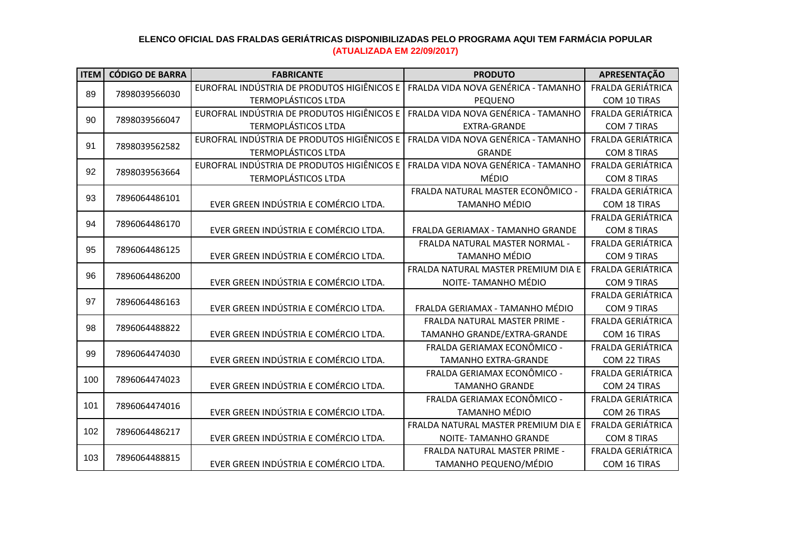| <b>ITEM</b> | <b>CÓDIGO DE BARRA</b> | <b>FABRICANTE</b>                           | <b>PRODUTO</b>                      | APRESENTAÇÃO             |
|-------------|------------------------|---------------------------------------------|-------------------------------------|--------------------------|
| 89          | 7898039566030          | EUROFRAL INDÚSTRIA DE PRODUTOS HIGIÊNICOS E | FRALDA VIDA NOVA GENÉRICA - TAMANHO | <b>FRALDA GERIÁTRICA</b> |
|             |                        | <b>TERMOPLÁSTICOS LTDA</b>                  | PEQUENO                             | COM 10 TIRAS             |
|             | 90<br>7898039566047    | EUROFRAL INDÚSTRIA DE PRODUTOS HIGIÊNICOS E | FRALDA VIDA NOVA GENÉRICA - TAMANHO | <b>FRALDA GERIÁTRICA</b> |
|             |                        | <b>TERMOPLÁSTICOS LTDA</b>                  | <b>EXTRA-GRANDE</b>                 | <b>COM 7 TIRAS</b>       |
| 91          | 7898039562582          | EUROFRAL INDÚSTRIA DE PRODUTOS HIGIÊNICOS E | FRALDA VIDA NOVA GENÉRICA - TAMANHO | FRALDA GERIÁTRICA        |
|             |                        | <b>TERMOPLÁSTICOS LTDA</b>                  | <b>GRANDE</b>                       | <b>COM 8 TIRAS</b>       |
| 92          | 7898039563664          | EUROFRAL INDÚSTRIA DE PRODUTOS HIGIÊNICOS E | FRALDA VIDA NOVA GENÉRICA - TAMANHO | <b>FRALDA GERIÁTRICA</b> |
|             |                        | <b>TERMOPLÁSTICOS LTDA</b>                  | <b>MÉDIO</b>                        | <b>COM 8 TIRAS</b>       |
| 93          | 7896064486101          |                                             | FRALDA NATURAL MASTER ECONÔMICO -   | FRALDA GERIÁTRICA        |
|             |                        | EVER GREEN INDÚSTRIA E COMÉRCIO LTDA.       | <b>TAMANHO MÉDIO</b>                | COM 18 TIRAS             |
| 94          | 7896064486170          |                                             |                                     | FRALDA GERIÁTRICA        |
|             |                        | EVER GREEN INDÚSTRIA E COMÉRCIO LTDA.       | FRALDA GERIAMAX - TAMANHO GRANDE    | <b>COM 8 TIRAS</b>       |
| 95          | 7896064486125          |                                             | FRALDA NATURAL MASTER NORMAL -      | <b>FRALDA GERIÁTRICA</b> |
|             |                        | EVER GREEN INDÚSTRIA E COMÉRCIO LTDA.       | <b>TAMANHO MÉDIO</b>                | <b>COM 9 TIRAS</b>       |
| 96          | 7896064486200          |                                             | FRALDA NATURAL MASTER PREMIUM DIA E | FRALDA GERIÁTRICA        |
|             |                        | EVER GREEN INDÚSTRIA E COMÉRCIO LTDA.       | NOITE- TAMANHO MÉDIO                | COM 9 TIRAS              |
| 97          | 7896064486163          |                                             |                                     | FRALDA GERIÁTRICA        |
|             |                        | EVER GREEN INDÚSTRIA E COMÉRCIO LTDA.       | FRALDA GERIAMAX - TAMANHO MÉDIO     | <b>COM 9 TIRAS</b>       |
| 98          | 7896064488822          |                                             | FRALDA NATURAL MASTER PRIME -       | FRALDA GERIÁTRICA        |
|             |                        | EVER GREEN INDÚSTRIA E COMÉRCIO LTDA.       | TAMANHO GRANDE/EXTRA-GRANDE         | COM 16 TIRAS             |
| 99          | 7896064474030          |                                             | FRALDA GERIAMAX ECONÔMICO -         | FRALDA GERIÁTRICA        |
|             |                        | EVER GREEN INDÚSTRIA E COMÉRCIO LTDA.       | <b>TAMANHO EXTRA-GRANDE</b>         | COM 22 TIRAS             |
| 100         | 7896064474023          |                                             | FRALDA GERIAMAX ECONÔMICO -         | FRALDA GERIÁTRICA        |
|             |                        | EVER GREEN INDÚSTRIA E COMÉRCIO LTDA.       | <b>TAMANHO GRANDE</b>               | COM 24 TIRAS             |
| 101         | 7896064474016          |                                             | FRALDA GERIAMAX ECONÔMICO -         | <b>FRALDA GERIÁTRICA</b> |
|             |                        | EVER GREEN INDÚSTRIA E COMÉRCIO LTDA.       | <b>TAMANHO MÉDIO</b>                | COM 26 TIRAS             |
| 102         | 7896064486217          |                                             | FRALDA NATURAL MASTER PREMIUM DIA E | FRALDA GERIÁTRICA        |
|             |                        | EVER GREEN INDÚSTRIA E COMÉRCIO LTDA.       | <b>NOITE- TAMANHO GRANDE</b>        | <b>COM 8 TIRAS</b>       |
|             |                        |                                             | FRALDA NATURAL MASTER PRIME -       | FRALDA GERIÁTRICA        |
| 103         | 7896064488815          | EVER GREEN INDÚSTRIA E COMÉRCIO LTDA.       | TAMANHO PEQUENO/MÉDIO               | COM 16 TIRAS             |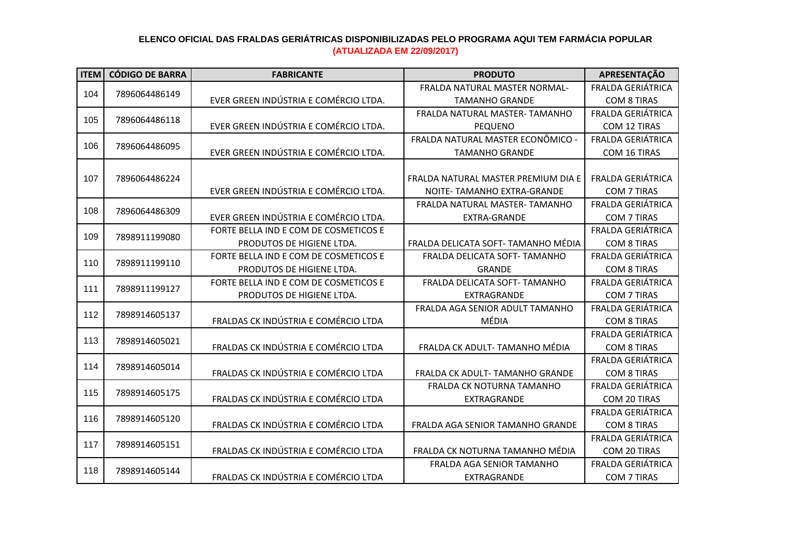| <b>ITEM</b> | <b>CÓDIGO DE BARRA</b> | <b>FABRICANTE</b>                     | <b>PRODUTO</b>                      | APRESENTAÇÃO             |
|-------------|------------------------|---------------------------------------|-------------------------------------|--------------------------|
|             |                        |                                       | FRALDA NATURAL MASTER NORMAL-       | FRALDA GERIÁTRICA        |
| 104         | 7896064486149          | EVER GREEN INDÚSTRIA E COMÉRCIO LTDA. | <b>TAMANHO GRANDE</b>               | <b>COM 8 TIRAS</b>       |
|             |                        |                                       | FRALDA NATURAL MASTER- TAMANHO      | FRALDA GERIÁTRICA        |
| 105         | 7896064486118          | EVER GREEN INDÚSTRIA E COMÉRCIO LTDA. | <b>PEQUENO</b>                      | COM 12 TIRAS             |
| 106         |                        |                                       | FRALDA NATURAL MASTER ECONÔMICO -   | FRALDA GERIÁTRICA        |
|             | 7896064486095          | EVER GREEN INDÚSTRIA E COMÉRCIO LTDA. | <b>TAMANHO GRANDE</b>               | COM 16 TIRAS             |
|             |                        |                                       |                                     |                          |
| 107         | 7896064486224          |                                       | FRALDA NATURAL MASTER PREMIUM DIA E | <b>FRALDA GERIÁTRICA</b> |
|             |                        | EVER GREEN INDÚSTRIA E COMÉRCIO LTDA. | NOITE- TAMANHO EXTRA-GRANDE         | <b>COM 7 TIRAS</b>       |
| 108         |                        |                                       | FRALDA NATURAL MASTER-TAMANHO       | FRALDA GERIÁTRICA        |
|             | 7896064486309          | EVER GREEN INDÚSTRIA E COMÉRCIO LTDA. | EXTRA-GRANDE                        | <b>COM 7 TIRAS</b>       |
|             |                        | FORTE BELLA IND E COM DE COSMETICOS E |                                     | <b>FRALDA GERIÁTRICA</b> |
| 109         | 7898911199080          | PRODUTOS DE HIGIENE LTDA.             | FRALDA DELICATA SOFT- TAMANHO MÉDIA | <b>COM 8 TIRAS</b>       |
|             |                        | FORTE BELLA IND E COM DE COSMETICOS E | FRALDA DELICATA SOFT- TAMANHO       | <b>FRALDA GERIÁTRICA</b> |
| 110         | 7898911199110          | PRODUTOS DE HIGIENE LTDA.             | <b>GRANDE</b>                       | <b>COM 8 TIRAS</b>       |
|             |                        | FORTE BELLA IND E COM DE COSMETICOS E | FRALDA DELICATA SOFT- TAMANHO       | FRALDA GERIÁTRICA        |
| 111         | 7898911199127          | PRODUTOS DE HIGIENE LTDA.             | EXTRAGRANDE                         | <b>COM 7 TIRAS</b>       |
|             |                        |                                       | FRALDA AGA SENIOR ADULT TAMANHO     | FRALDA GERIÁTRICA        |
| 112         | 7898914605137          | FRALDAS CK INDÚSTRIA E COMÉRCIO LTDA  | MÉDIA                               | <b>COM 8 TIRAS</b>       |
|             |                        |                                       |                                     | <b>FRALDA GERIÁTRICA</b> |
| 113         | 7898914605021          | FRALDAS CK INDÚSTRIA E COMÉRCIO LTDA  | FRALDA CK ADULT- TAMANHO MÉDIA      | <b>COM 8 TIRAS</b>       |
| 114         |                        |                                       |                                     | <b>FRALDA GERIÁTRICA</b> |
|             | 7898914605014          | FRALDAS CK INDÚSTRIA E COMÉRCIO LTDA  | FRALDA CK ADULT- TAMANHO GRANDE     | <b>COM 8 TIRAS</b>       |
| 115         |                        |                                       | FRALDA CK NOTURNA TAMANHO           | FRALDA GERIÁTRICA        |
|             | 7898914605175          | FRALDAS CK INDÚSTRIA E COMÉRCIO LTDA  | EXTRAGRANDE                         | COM 20 TIRAS             |
| 116         | 7898914605120          |                                       |                                     | FRALDA GERIÁTRICA        |
|             |                        | FRALDAS CK INDÚSTRIA E COMÉRCIO LTDA  | FRALDA AGA SENIOR TAMANHO GRANDE    | <b>COM 8 TIRAS</b>       |
| 117         |                        |                                       |                                     | FRALDA GERIÁTRICA        |
|             | 7898914605151          | FRALDAS CK INDÚSTRIA E COMÉRCIO LTDA  | FRALDA CK NOTURNA TAMANHO MÉDIA     | COM 20 TIRAS             |
|             |                        |                                       | FRALDA AGA SENIOR TAMANHO           | <b>FRALDA GERIÁTRICA</b> |
| 118         | 7898914605144          | FRALDAS CK INDÚSTRIA E COMÉRCIO LTDA  | EXTRAGRANDE                         | <b>COM 7 TIRAS</b>       |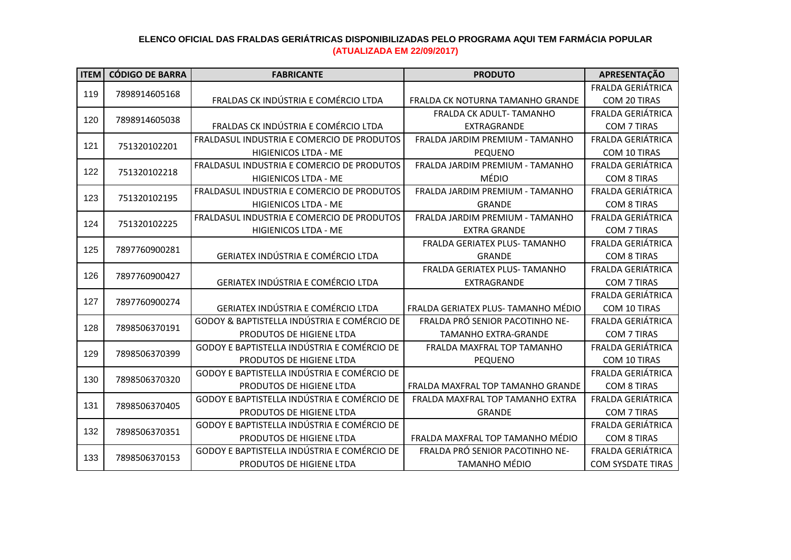| <b>ITEM</b>          | <b>CÓDIGO DE BARRA</b> | <b>FABRICANTE</b>                           | <b>PRODUTO</b>                      | APRESENTAÇÃO             |
|----------------------|------------------------|---------------------------------------------|-------------------------------------|--------------------------|
|                      |                        |                                             |                                     | FRALDA GERIÁTRICA        |
| 119                  | 7898914605168          | FRALDAS CK INDÚSTRIA E COMÉRCIO LTDA        | FRALDA CK NOTURNA TAMANHO GRANDE    | COM 20 TIRAS             |
| 120<br>7898914605038 |                        |                                             | FRALDA CK ADULT- TAMANHO            | <b>FRALDA GERIÁTRICA</b> |
|                      |                        | FRALDAS CK INDÚSTRIA E COMÉRCIO LTDA        | <b>EXTRAGRANDE</b>                  | <b>COM 7 TIRAS</b>       |
| 121                  | 751320102201           | FRALDASUL INDUSTRIA E COMERCIO DE PRODUTOS  | FRALDA JARDIM PREMIUM - TAMANHO     | <b>FRALDA GERIÁTRICA</b> |
|                      |                        | <b>HIGIENICOS LTDA - ME</b>                 | <b>PEQUENO</b>                      | COM 10 TIRAS             |
| 122                  |                        | FRALDASUL INDUSTRIA E COMERCIO DE PRODUTOS  | FRALDA JARDIM PREMIUM - TAMANHO     | <b>FRALDA GERIÁTRICA</b> |
|                      | 751320102218           | <b>HIGIENICOS LTDA - ME</b>                 | MÉDIO                               | <b>COM 8 TIRAS</b>       |
| 123                  | 751320102195           | FRALDASUL INDUSTRIA E COMERCIO DE PRODUTOS  | FRALDA JARDIM PREMIUM - TAMANHO     | <b>FRALDA GERIÁTRICA</b> |
|                      |                        | HIGIENICOS LTDA - ME                        | <b>GRANDE</b>                       | <b>COM 8 TIRAS</b>       |
| 124                  | 751320102225           | FRALDASUL INDUSTRIA E COMERCIO DE PRODUTOS  | FRALDA JARDIM PREMIUM - TAMANHO     | <b>FRALDA GERIÁTRICA</b> |
|                      |                        | HIGIENICOS LTDA - ME                        | <b>EXTRA GRANDE</b>                 | <b>COM 7 TIRAS</b>       |
| 125                  | 7897760900281          |                                             | FRALDA GERIATEX PLUS- TAMANHO       | <b>FRALDA GERIÁTRICA</b> |
|                      |                        | <b>GERIATEX INDÚSTRIA E COMÉRCIO LTDA</b>   | <b>GRANDE</b>                       | <b>COM 8 TIRAS</b>       |
| 126                  | 7897760900427          |                                             | FRALDA GERIATEX PLUS- TAMANHO       | <b>FRALDA GERIÁTRICA</b> |
|                      |                        | <b>GERIATEX INDÚSTRIA E COMÉRCIO LTDA</b>   | EXTRAGRANDE                         | <b>COM 7 TIRAS</b>       |
| 127                  | 7897760900274          |                                             |                                     | FRALDA GERIÁTRICA        |
|                      |                        | GERIATEX INDÚSTRIA E COMÉRCIO LTDA          | FRALDA GERIATEX PLUS- TAMANHO MÉDIO | COM 10 TIRAS             |
| 128                  | 7898506370191          | GODOY & BAPTISTELLA INDÚSTRIA E COMÉRCIO DE | FRALDA PRÓ SENIOR PACOTINHO NE-     | <b>FRALDA GERIÁTRICA</b> |
|                      |                        | PRODUTOS DE HIGIENE LTDA                    | <b>TAMANHO EXTRA-GRANDE</b>         | COM 7 TIRAS              |
| 129                  | 7898506370399          | GODOY E BAPTISTELLA INDÚSTRIA E COMÉRCIO DE | FRALDA MAXFRAL TOP TAMANHO          | <b>FRALDA GERIÁTRICA</b> |
|                      |                        | PRODUTOS DE HIGIENE LTDA                    | PEQUENO                             | COM 10 TIRAS             |
| 130                  | 7898506370320          | GODOY E BAPTISTELLA INDÚSTRIA E COMÉRCIO DE |                                     | <b>FRALDA GERIÁTRICA</b> |
|                      |                        | PRODUTOS DE HIGIENE LTDA                    | FRALDA MAXFRAL TOP TAMANHO GRANDE   | <b>COM 8 TIRAS</b>       |
| 131                  | 7898506370405          | GODOY E BAPTISTELLA INDÚSTRIA E COMÉRCIO DE | FRALDA MAXFRAL TOP TAMANHO EXTRA    | FRALDA GERIÁTRICA        |
|                      |                        | PRODUTOS DE HIGIENE LTDA                    | <b>GRANDE</b>                       | <b>COM 7 TIRAS</b>       |
| 132                  | 7898506370351          | GODOY E BAPTISTELLA INDÚSTRIA E COMÉRCIO DE |                                     | FRALDA GERIÁTRICA        |
|                      |                        | PRODUTOS DE HIGIENE LTDA                    | FRALDA MAXFRAL TOP TAMANHO MÉDIO    | <b>COM 8 TIRAS</b>       |
| 133                  | 7898506370153          | GODOY E BAPTISTELLA INDÚSTRIA E COMÉRCIO DE | FRALDA PRÓ SENIOR PACOTINHO NE-     | FRALDA GERIÁTRICA        |
|                      |                        | PRODUTOS DE HIGIENE LTDA                    | <b>TAMANHO MÉDIO</b>                | <b>COM SYSDATE TIRAS</b> |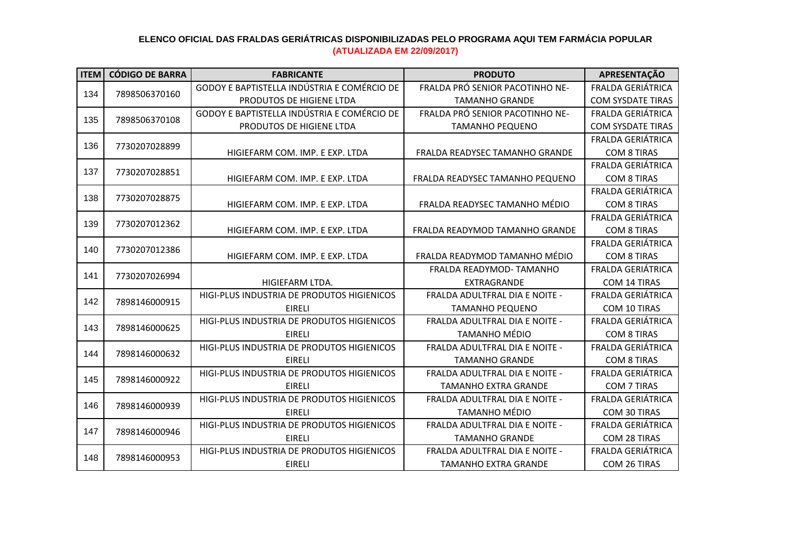| <b>ITEM</b> | <b>CÓDIGO DE BARRA</b> | <b>FABRICANTE</b>                           | <b>PRODUTO</b>                        | APRESENTAÇÃO             |
|-------------|------------------------|---------------------------------------------|---------------------------------------|--------------------------|
| 134         | 7898506370160          | GODOY E BAPTISTELLA INDÚSTRIA E COMÉRCIO DE | FRALDA PRÓ SENIOR PACOTINHO NE-       | FRALDA GERIÁTRICA        |
|             |                        | PRODUTOS DE HIGIENE LTDA                    | <b>TAMANHO GRANDE</b>                 | <b>COM SYSDATE TIRAS</b> |
| 135         | 7898506370108          | GODOY E BAPTISTELLA INDÚSTRIA E COMÉRCIO DE | FRALDA PRÓ SENIOR PACOTINHO NE-       | <b>FRALDA GERIÁTRICA</b> |
|             |                        | PRODUTOS DE HIGIENE LTDA                    | <b>TAMANHO PEQUENO</b>                | <b>COM SYSDATE TIRAS</b> |
| 136         |                        |                                             |                                       | FRALDA GERIÁTRICA        |
|             | 7730207028899          | HIGIEFARM COM. IMP. E EXP. LTDA             | <b>FRALDA READYSEC TAMANHO GRANDE</b> | <b>COM 8 TIRAS</b>       |
|             |                        |                                             |                                       | <b>FRALDA GERIÁTRICA</b> |
| 137         | 7730207028851          | HIGIEFARM COM. IMP. E EXP. LTDA             | FRALDA READYSEC TAMANHO PEQUENO       | <b>COM 8 TIRAS</b>       |
| 138         | 7730207028875          |                                             |                                       | FRALDA GERIÁTRICA        |
|             |                        | HIGIEFARM COM. IMP. E EXP. LTDA             | FRALDA READYSEC TAMANHO MÉDIO         | <b>COM 8 TIRAS</b>       |
| 139         | 7730207012362          |                                             |                                       | <b>FRALDA GERIÁTRICA</b> |
|             |                        | HIGIEFARM COM. IMP. E EXP. LTDA             | FRALDA READYMOD TAMANHO GRANDE        | <b>COM 8 TIRAS</b>       |
| 140         | 7730207012386          |                                             |                                       | <b>FRALDA GERIÁTRICA</b> |
|             |                        | HIGIEFARM COM. IMP. E EXP. LTDA             | FRALDA READYMOD TAMANHO MÉDIO         | <b>COM 8 TIRAS</b>       |
| 141         | 7730207026994          |                                             | FRALDA READYMOD-TAMANHO               | FRALDA GERIÁTRICA        |
|             |                        | HIGIEFARM LTDA.                             | EXTRAGRANDE                           | <b>COM 14 TIRAS</b>      |
| 142         | 7898146000915          | HIGI-PLUS INDUSTRIA DE PRODUTOS HIGIENICOS  | <b>FRALDA ADULTFRAL DIA E NOITE -</b> | FRALDA GERIÁTRICA        |
|             |                        | <b>EIRELI</b>                               | <b>TAMANHO PEQUENO</b>                | COM 10 TIRAS             |
| 143         | 7898146000625          | HIGI-PLUS INDUSTRIA DE PRODUTOS HIGIENICOS  | <b>FRALDA ADULTFRAL DIA E NOITE -</b> | <b>FRALDA GERIÁTRICA</b> |
|             |                        | <b>EIRELI</b>                               | <b>TAMANHO MÉDIO</b>                  | <b>COM 8 TIRAS</b>       |
| 144         | 7898146000632          | HIGI-PLUS INDUSTRIA DE PRODUTOS HIGIENICOS  | FRALDA ADULTFRAL DIA E NOITE -        | FRALDA GERIÁTRICA        |
|             |                        | <b>EIRELI</b>                               | <b>TAMANHO GRANDE</b>                 | <b>COM 8 TIRAS</b>       |
| 145         | 7898146000922          | HIGI-PLUS INDUSTRIA DE PRODUTOS HIGIENICOS  | <b>FRALDA ADULTFRAL DIA E NOITE -</b> | <b>FRALDA GERIÁTRICA</b> |
|             |                        | <b>EIRELI</b>                               | <b>TAMANHO EXTRA GRANDE</b>           | COM 7 TIRAS              |
| 146         | 7898146000939          | HIGI-PLUS INDUSTRIA DE PRODUTOS HIGIENICOS  | FRALDA ADULTFRAL DIA E NOITE -        | FRALDA GERIÁTRICA        |
|             |                        | <b>EIRELI</b>                               | <b>TAMANHO MÉDIO</b>                  | COM 30 TIRAS             |
| 147         | 7898146000946          | HIGI-PLUS INDUSTRIA DE PRODUTOS HIGIENICOS  | FRALDA ADULTFRAL DIA E NOITE -        | <b>FRALDA GERIÁTRICA</b> |
|             |                        | <b>EIRELI</b>                               | <b>TAMANHO GRANDE</b>                 | COM 28 TIRAS             |
| 148         | 7898146000953          | HIGI-PLUS INDUSTRIA DE PRODUTOS HIGIENICOS  | FRALDA ADULTFRAL DIA E NOITE -        | FRALDA GERIÁTRICA        |
|             |                        | <b>EIRELI</b>                               | <b>TAMANHO EXTRA GRANDE</b>           | COM 26 TIRAS             |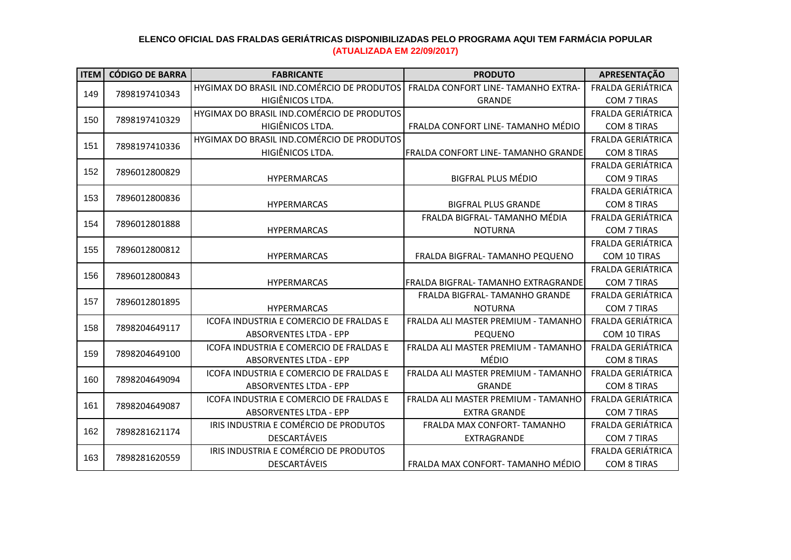| <b>ITEM</b> | <b>CÓDIGO DE BARRA</b> | <b>FABRICANTE</b>                          | <b>PRODUTO</b>                             | APRESENTAÇÃO             |
|-------------|------------------------|--------------------------------------------|--------------------------------------------|--------------------------|
| 149         | 7898197410343          | HYGIMAX DO BRASIL IND.COMÉRCIO DE PRODUTOS | FRALDA CONFORT LINE- TAMANHO EXTRA-        | FRALDA GERIÁTRICA        |
|             |                        | HIGIÊNICOS LTDA.                           | <b>GRANDE</b>                              | COM 7 TIRAS              |
| 150         | 7898197410329          | HYGIMAX DO BRASIL IND.COMÉRCIO DE PRODUTOS |                                            | <b>FRALDA GERIÁTRICA</b> |
|             |                        | HIGIÊNICOS LTDA.                           | FRALDA CONFORT LINE-TAMANHO MÉDIO          | <b>COM 8 TIRAS</b>       |
| 151         | 7898197410336          | HYGIMAX DO BRASIL IND.COMÉRCIO DE PRODUTOS |                                            | FRALDA GERIÁTRICA        |
|             |                        | HIGIÊNICOS LTDA.                           | <b>FRALDA CONFORT LINE- TAMANHO GRANDE</b> | <b>COM 8 TIRAS</b>       |
| 152         | 7896012800829          |                                            |                                            | <b>FRALDA GERIÁTRICA</b> |
|             |                        | <b>HYPERMARCAS</b>                         | <b>BIGFRAL PLUS MÉDIO</b>                  | COM 9 TIRAS              |
| 153         | 7896012800836          |                                            |                                            | FRALDA GERIÁTRICA        |
|             |                        | <b>HYPERMARCAS</b>                         | <b>BIGFRAL PLUS GRANDE</b>                 | <b>COM 8 TIRAS</b>       |
| 154         | 7896012801888          |                                            | FRALDA BIGFRAL- TAMANHO MÉDIA              | <b>FRALDA GERIÁTRICA</b> |
|             |                        | <b>HYPERMARCAS</b>                         | <b>NOTURNA</b>                             | <b>COM 7 TIRAS</b>       |
| 155         | 7896012800812          |                                            |                                            | FRALDA GERIÁTRICA        |
|             |                        | <b>HYPERMARCAS</b>                         | FRALDA BIGFRAL- TAMANHO PEQUENO            | COM 10 TIRAS             |
| 156         | 7896012800843          |                                            |                                            | FRALDA GERIÁTRICA        |
|             |                        | <b>HYPERMARCAS</b>                         | FRALDA BIGFRAL- TAMANHO EXTRAGRANDE        | COM 7 TIRAS              |
| 157         | 7896012801895          |                                            | FRALDA BIGFRAL- TAMANHO GRANDE             | <b>FRALDA GERIÁTRICA</b> |
|             |                        | <b>HYPERMARCAS</b>                         | <b>NOTURNA</b>                             | <b>COM 7 TIRAS</b>       |
| 158         | 7898204649117          | ICOFA INDUSTRIA E COMERCIO DE FRALDAS E    | FRALDA ALI MASTER PREMIUM - TAMANHO        | <b>FRALDA GERIÁTRICA</b> |
|             |                        | <b>ABSORVENTES LTDA - EPP</b>              | <b>PEQUENO</b>                             | COM 10 TIRAS             |
| 159         | 7898204649100          | ICOFA INDUSTRIA E COMERCIO DE FRALDAS E    | FRALDA ALI MASTER PREMIUM - TAMANHO        | <b>FRALDA GERIÁTRICA</b> |
|             |                        | <b>ABSORVENTES LTDA - EPP</b>              | <b>MÉDIO</b>                               | <b>COM 8 TIRAS</b>       |
| 160         | 7898204649094          | ICOFA INDUSTRIA E COMERCIO DE FRALDAS E    | FRALDA ALI MASTER PREMIUM - TAMANHO        | <b>FRALDA GERIÁTRICA</b> |
|             |                        | <b>ABSORVENTES LTDA - EPP</b>              | <b>GRANDE</b>                              | <b>COM 8 TIRAS</b>       |
| 161         | 7898204649087          | ICOFA INDUSTRIA E COMERCIO DE FRALDAS E    | FRALDA ALI MASTER PREMIUM - TAMANHO        | FRALDA GERIÁTRICA        |
|             |                        | <b>ABSORVENTES LTDA - EPP</b>              | <b>EXTRA GRANDE</b>                        | <b>COM 7 TIRAS</b>       |
| 162         | 7898281621174          | IRIS INDUSTRIA E COMÉRCIO DE PRODUTOS      | FRALDA MAX CONFORT- TAMANHO                | <b>FRALDA GERIÁTRICA</b> |
|             |                        | <b>DESCARTÁVEIS</b>                        | <b>EXTRAGRANDE</b>                         | <b>COM 7 TIRAS</b>       |
| 163         | 7898281620559          | IRIS INDUSTRIA E COMÉRCIO DE PRODUTOS      |                                            | <b>FRALDA GERIÁTRICA</b> |
|             |                        | DESCARTÁVEIS                               | FRALDA MAX CONFORT- TAMANHO MÉDIO          | <b>COM 8 TIRAS</b>       |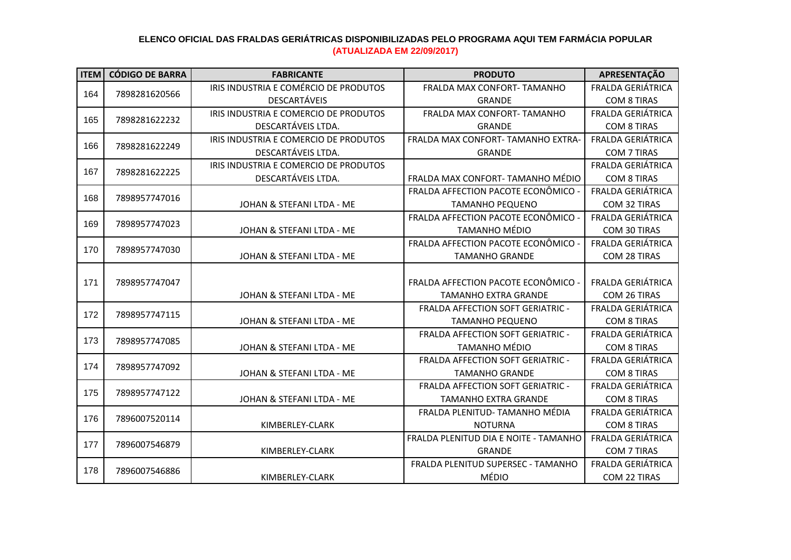| <b>ITEM</b> | <b>CÓDIGO DE BARRA</b> | <b>FABRICANTE</b>                     | <b>PRODUTO</b>                           | APRESENTAÇÃO             |
|-------------|------------------------|---------------------------------------|------------------------------------------|--------------------------|
| 164         |                        | IRIS INDUSTRIA E COMÉRCIO DE PRODUTOS | FRALDA MAX CONFORT- TAMANHO              | <b>FRALDA GERIÁTRICA</b> |
|             | 7898281620566          | <b>DESCARTÁVEIS</b>                   | <b>GRANDE</b>                            | <b>COM 8 TIRAS</b>       |
| 165         | 7898281622232          | IRIS INDUSTRIA E COMERCIO DE PRODUTOS | FRALDA MAX CONFORT- TAMANHO              | FRALDA GERIÁTRICA        |
|             |                        | DESCARTÁVEIS LTDA.                    | <b>GRANDE</b>                            | <b>COM 8 TIRAS</b>       |
| 166         | 7898281622249          | IRIS INDUSTRIA E COMERCIO DE PRODUTOS | FRALDA MAX CONFORT- TAMANHO EXTRA-       | FRALDA GERIÁTRICA        |
|             |                        | DESCARTÁVEIS LTDA.                    | <b>GRANDE</b>                            | COM 7 TIRAS              |
| 167         | 7898281622225          | IRIS INDUSTRIA E COMERCIO DE PRODUTOS |                                          | <b>FRALDA GERIÁTRICA</b> |
|             |                        | DESCARTÁVEIS LTDA.                    | FRALDA MAX CONFORT- TAMANHO MÉDIO        | <b>COM 8 TIRAS</b>       |
| 168         | 7898957747016          |                                       | FRALDA AFFECTION PACOTE ECONÔMICO -      | FRALDA GERIÁTRICA        |
|             |                        | JOHAN & STEFANI LTDA - ME             | <b>TAMANHO PEQUENO</b>                   | COM 32 TIRAS             |
| 169         | 7898957747023          |                                       | FRALDA AFFECTION PACOTE ECONÔMICO -      | FRALDA GERIÁTRICA        |
|             |                        | JOHAN & STEFANI LTDA - ME             | <b>TAMANHO MÉDIO</b>                     | COM 30 TIRAS             |
| 170         | 7898957747030          |                                       | FRALDA AFFECTION PACOTE ECONÔMICO -      | FRALDA GERIÁTRICA        |
|             |                        | JOHAN & STEFANI LTDA - ME             | <b>TAMANHO GRANDE</b>                    | COM 28 TIRAS             |
|             |                        |                                       |                                          |                          |
| 171         | 7898957747047          |                                       | FRALDA AFFECTION PACOTE ECONÔMICO -      | FRALDA GERIÁTRICA        |
|             |                        | JOHAN & STEFANI LTDA - ME             | <b>TAMANHO EXTRA GRANDE</b>              | COM 26 TIRAS             |
| 172         | 7898957747115          |                                       | <b>FRALDA AFFECTION SOFT GERIATRIC -</b> | FRALDA GERIÁTRICA        |
|             |                        | JOHAN & STEFANI LTDA - ME             | <b>TAMANHO PEQUENO</b>                   | <b>COM 8 TIRAS</b>       |
| 173         | 7898957747085          |                                       | FRALDA AFFECTION SOFT GERIATRIC -        | FRALDA GERIÁTRICA        |
|             |                        | JOHAN & STEFANI LTDA - ME             | <b>TAMANHO MÉDIO</b>                     | <b>COM 8 TIRAS</b>       |
| 174         | 7898957747092          |                                       | FRALDA AFFECTION SOFT GERIATRIC -        | FRALDA GERIÁTRICA        |
|             |                        | JOHAN & STEFANI LTDA - ME             | <b>TAMANHO GRANDE</b>                    | <b>COM 8 TIRAS</b>       |
| 175         | 7898957747122          |                                       | FRALDA AFFECTION SOFT GERIATRIC -        | FRALDA GERIÁTRICA        |
|             |                        | JOHAN & STEFANI LTDA - ME             | <b>TAMANHO EXTRA GRANDE</b>              | <b>COM 8 TIRAS</b>       |
| 176         | 7896007520114          |                                       | FRALDA PLENITUD- TAMANHO MÉDIA           | FRALDA GERIÁTRICA        |
|             |                        | KIMBERLEY-CLARK                       | <b>NOTURNA</b>                           | <b>COM 8 TIRAS</b>       |
| 177         | 7896007546879          |                                       | FRALDA PLENITUD DIA E NOITE - TAMANHO    | FRALDA GERIÁTRICA        |
|             |                        | KIMBERLEY-CLARK                       | <b>GRANDE</b>                            | <b>COM 7 TIRAS</b>       |
| 178         | 7896007546886          |                                       | FRALDA PLENITUD SUPERSEC - TAMANHO       | FRALDA GERIÁTRICA        |
|             |                        | KIMBERLEY-CLARK                       | MÉDIO                                    | COM 22 TIRAS             |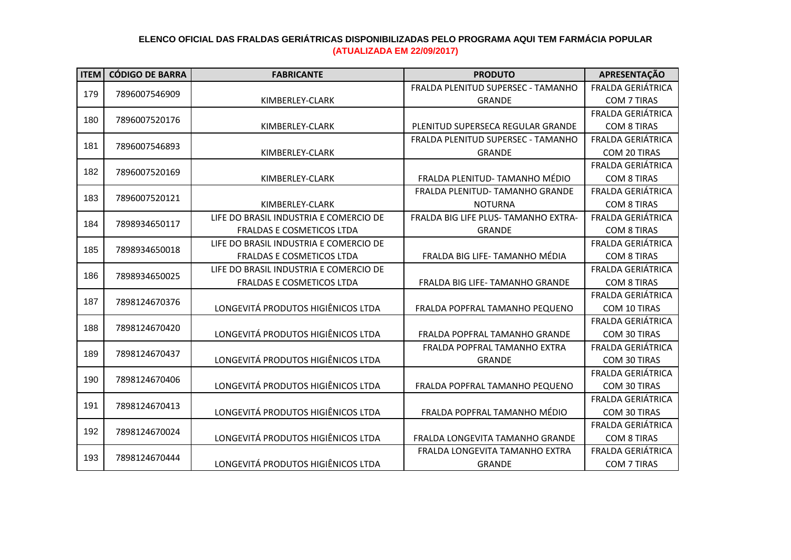| <b>ITEM</b> | <b>CÓDIGO DE BARRA</b>                                                                                                                                                                  | <b>FABRICANTE</b>                      | <b>PRODUTO</b>                       | APRESENTAÇÃO             |
|-------------|-----------------------------------------------------------------------------------------------------------------------------------------------------------------------------------------|----------------------------------------|--------------------------------------|--------------------------|
| 179         |                                                                                                                                                                                         |                                        | FRALDA PLENITUD SUPERSEC - TAMANHO   | <b>FRALDA GERIÁTRICA</b> |
|             | 7896007546909                                                                                                                                                                           | KIMBERLEY-CLARK                        | <b>GRANDE</b>                        | COM 7 TIRAS              |
|             |                                                                                                                                                                                         |                                        |                                      | FRALDA GERIÁTRICA        |
| 180         |                                                                                                                                                                                         | KIMBERLEY-CLARK                        | PLENITUD SUPERSECA REGULAR GRANDE    | <b>COM 8 TIRAS</b>       |
|             |                                                                                                                                                                                         |                                        | FRALDA PLENITUD SUPERSEC - TAMANHO   | FRALDA GERIÁTRICA        |
| 181         |                                                                                                                                                                                         | KIMBERLEY-CLARK                        | <b>GRANDE</b>                        | COM 20 TIRAS             |
| 182         | 7896007520176<br>7896007546893<br>7896007520169<br>7896007520121<br>7898934650117<br>7898934650018<br>7898934650025<br>7898124670376<br>7898124670420<br>7898124670437<br>7898124670406 |                                        |                                      | <b>FRALDA GERIÁTRICA</b> |
|             |                                                                                                                                                                                         | KIMBERLEY-CLARK                        | FRALDA PLENITUD- TAMANHO MÉDIO       | <b>COM 8 TIRAS</b>       |
| 183         |                                                                                                                                                                                         |                                        | FRALDA PLENITUD- TAMANHO GRANDE      | FRALDA GERIÁTRICA        |
|             |                                                                                                                                                                                         | KIMBERLEY-CLARK                        | <b>NOTURNA</b>                       | <b>COM 8 TIRAS</b>       |
| 184         |                                                                                                                                                                                         | LIFE DO BRASIL INDUSTRIA E COMERCIO DE | FRALDA BIG LIFE PLUS- TAMANHO EXTRA- | <b>FRALDA GERIÁTRICA</b> |
|             |                                                                                                                                                                                         | FRALDAS E COSMETICOS LTDA              | <b>GRANDE</b>                        | <b>COM 8 TIRAS</b>       |
| 185         |                                                                                                                                                                                         | LIFE DO BRASIL INDUSTRIA E COMERCIO DE |                                      | FRALDA GERIÁTRICA        |
|             |                                                                                                                                                                                         | <b>FRALDAS E COSMETICOS LTDA</b>       | FRALDA BIG LIFE- TAMANHO MÉDIA       | <b>COM 8 TIRAS</b>       |
| 186         |                                                                                                                                                                                         | LIFE DO BRASIL INDUSTRIA E COMERCIO DE |                                      | <b>FRALDA GERIÁTRICA</b> |
|             |                                                                                                                                                                                         | FRALDAS E COSMETICOS LTDA              | FRALDA BIG LIFE- TAMANHO GRANDE      | <b>COM 8 TIRAS</b>       |
| 187         |                                                                                                                                                                                         |                                        |                                      | FRALDA GERIÁTRICA        |
|             |                                                                                                                                                                                         | LONGEVITÁ PRODUTOS HIGIÊNICOS LTDA     | FRALDA POPFRAL TAMANHO PEQUENO       | COM 10 TIRAS             |
| 188         |                                                                                                                                                                                         |                                        |                                      | FRALDA GERIÁTRICA        |
|             |                                                                                                                                                                                         | LONGEVITÁ PRODUTOS HIGIÊNICOS LTDA     | FRALDA POPFRAL TAMANHO GRANDE        | COM 30 TIRAS             |
| 189         |                                                                                                                                                                                         |                                        | FRALDA POPFRAL TAMANHO EXTRA         | <b>FRALDA GERIÁTRICA</b> |
|             |                                                                                                                                                                                         | LONGEVITÁ PRODUTOS HIGIÊNICOS LTDA     | <b>GRANDE</b>                        | COM 30 TIRAS             |
| 190         |                                                                                                                                                                                         |                                        |                                      | <b>FRALDA GERIÁTRICA</b> |
|             |                                                                                                                                                                                         | LONGEVITÁ PRODUTOS HIGIÊNICOS LTDA     | FRALDA POPFRAL TAMANHO PEQUENO       | COM 30 TIRAS             |
| 191         | 7898124670413                                                                                                                                                                           |                                        |                                      | FRALDA GERIÁTRICA        |
|             |                                                                                                                                                                                         | LONGEVITÁ PRODUTOS HIGIÊNICOS LTDA     | FRALDA POPFRAL TAMANHO MÉDIO         | COM 30 TIRAS             |
| 192         | 7898124670024                                                                                                                                                                           |                                        |                                      | FRALDA GERIÁTRICA        |
|             |                                                                                                                                                                                         | LONGEVITÁ PRODUTOS HIGIÊNICOS LTDA     | FRALDA LONGEVITA TAMANHO GRANDE      | <b>COM 8 TIRAS</b>       |
| 193         | 7898124670444                                                                                                                                                                           |                                        | FRALDA LONGEVITA TAMANHO EXTRA       | FRALDA GERIÁTRICA        |
|             |                                                                                                                                                                                         | LONGEVITÁ PRODUTOS HIGIÊNICOS LTDA     | <b>GRANDE</b>                        | <b>COM 7 TIRAS</b>       |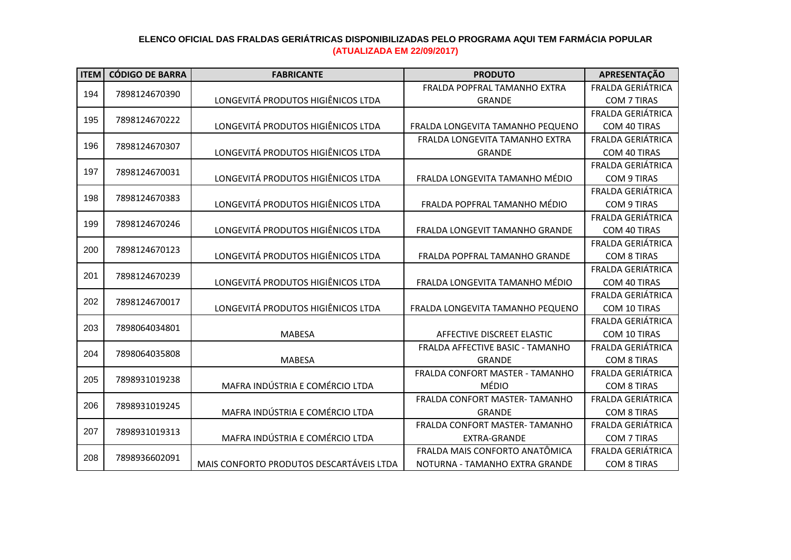| <b>ITEM</b> | <b>CÓDIGO DE BARRA</b> | <b>FABRICANTE</b>                        | <b>PRODUTO</b>                   | APRESENTAÇÃO             |
|-------------|------------------------|------------------------------------------|----------------------------------|--------------------------|
|             |                        |                                          | FRALDA POPFRAL TAMANHO EXTRA     | <b>FRALDA GERIÁTRICA</b> |
| 194         | 7898124670390          | LONGEVITÁ PRODUTOS HIGIÊNICOS LTDA       | <b>GRANDE</b>                    | COM 7 TIRAS              |
|             |                        |                                          |                                  | <b>FRALDA GERIÁTRICA</b> |
| 195         | 7898124670222          | LONGEVITÁ PRODUTOS HIGIÊNICOS LTDA       | FRALDA LONGEVITA TAMANHO PEQUENO | COM 40 TIRAS             |
| 196         | 7898124670307          |                                          | FRALDA LONGEVITA TAMANHO EXTRA   | FRALDA GERIÁTRICA        |
|             |                        | LONGEVITÁ PRODUTOS HIGIÊNICOS LTDA       | <b>GRANDE</b>                    | COM 40 TIRAS             |
| 197         | 7898124670031          |                                          |                                  | <b>FRALDA GERIÁTRICA</b> |
|             |                        | LONGEVITÁ PRODUTOS HIGIÊNICOS LTDA       | FRALDA LONGEVITA TAMANHO MÉDIO   | <b>COM 9 TIRAS</b>       |
| 198         | 7898124670383          |                                          |                                  | FRALDA GERIÁTRICA        |
|             |                        | LONGEVITÁ PRODUTOS HIGIÊNICOS LTDA       | FRALDA POPFRAL TAMANHO MÉDIO     | <b>COM 9 TIRAS</b>       |
| 199         | 7898124670246          |                                          |                                  | <b>FRALDA GERIÁTRICA</b> |
|             |                        | LONGEVITÁ PRODUTOS HIGIÊNICOS LTDA       | FRALDA LONGEVIT TAMANHO GRANDE   | COM 40 TIRAS             |
| 200         | 7898124670123          |                                          |                                  | <b>FRALDA GERIÁTRICA</b> |
|             |                        | LONGEVITÁ PRODUTOS HIGIÊNICOS LTDA       | FRALDA POPFRAL TAMANHO GRANDE    | <b>COM 8 TIRAS</b>       |
| 201         | 7898124670239          |                                          |                                  | FRALDA GERIÁTRICA        |
|             |                        | LONGEVITÁ PRODUTOS HIGIÊNICOS LTDA       | FRALDA LONGEVITA TAMANHO MÉDIO   | COM 40 TIRAS             |
| 202         | 7898124670017          |                                          |                                  | <b>FRALDA GERIÁTRICA</b> |
|             |                        | LONGEVITÁ PRODUTOS HIGIÊNICOS LTDA       | FRALDA LONGEVITA TAMANHO PEQUENO | COM 10 TIRAS             |
| 203         | 7898064034801          |                                          |                                  | <b>FRALDA GERIÁTRICA</b> |
|             |                        | <b>MABESA</b>                            | AFFECTIVE DISCREET ELASTIC       | COM 10 TIRAS             |
| 204         | 7898064035808          |                                          | FRALDA AFFECTIVE BASIC - TAMANHO | <b>FRALDA GERIÁTRICA</b> |
|             |                        | <b>MABESA</b>                            | <b>GRANDE</b>                    | <b>COM 8 TIRAS</b>       |
| 205         | 7898931019238          |                                          | FRALDA CONFORT MASTER - TAMANHO  | <b>FRALDA GERIÁTRICA</b> |
|             |                        | MAFRA INDÚSTRIA E COMÉRCIO LTDA          | <b>MÉDIO</b>                     | <b>COM 8 TIRAS</b>       |
| 206         | 7898931019245          |                                          | FRALDA CONFORT MASTER- TAMANHO   | <b>FRALDA GERIÁTRICA</b> |
|             |                        | MAFRA INDÚSTRIA E COMÉRCIO LTDA          | <b>GRANDE</b>                    | <b>COM 8 TIRAS</b>       |
| 207         | 7898931019313          |                                          | FRALDA CONFORT MASTER- TAMANHO   | FRALDA GERIÁTRICA        |
|             |                        | MAFRA INDÚSTRIA E COMÉRCIO LTDA          | <b>EXTRA-GRANDE</b>              | <b>COM 7 TIRAS</b>       |
| 208         | 7898936602091          |                                          | FRALDA MAIS CONFORTO ANATÔMICA   | FRALDA GERIÁTRICA        |
|             |                        | MAIS CONFORTO PRODUTOS DESCARTÁVEIS LTDA | NOTURNA - TAMANHO EXTRA GRANDE   | <b>COM 8 TIRAS</b>       |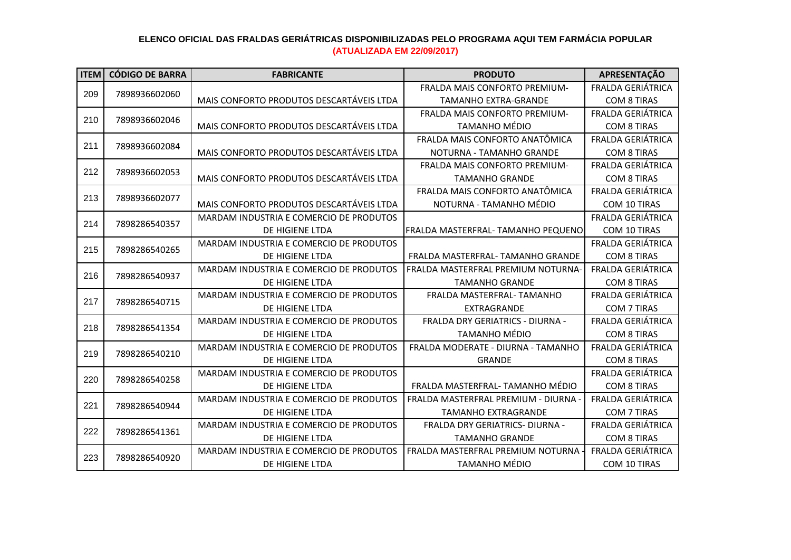| <b>ITEM</b> | <b>CÓDIGO DE BARRA</b>                                                                                                                                                                                                    | <b>FABRICANTE</b>                        | <b>PRODUTO</b>                                                                                                                                                                                                                                                                                                                                                                                                                                                                                                                                                                                                                                                                                   | APRESENTAÇÃO             |
|-------------|---------------------------------------------------------------------------------------------------------------------------------------------------------------------------------------------------------------------------|------------------------------------------|--------------------------------------------------------------------------------------------------------------------------------------------------------------------------------------------------------------------------------------------------------------------------------------------------------------------------------------------------------------------------------------------------------------------------------------------------------------------------------------------------------------------------------------------------------------------------------------------------------------------------------------------------------------------------------------------------|--------------------------|
|             |                                                                                                                                                                                                                           |                                          | <b>FRALDA MAIS CONFORTO PREMIUM-</b>                                                                                                                                                                                                                                                                                                                                                                                                                                                                                                                                                                                                                                                             | <b>FRALDA GERIÁTRICA</b> |
| 209         |                                                                                                                                                                                                                           | MAIS CONFORTO PRODUTOS DESCARTÁVEIS LTDA | <b>TAMANHO EXTRA-GRANDE</b>                                                                                                                                                                                                                                                                                                                                                                                                                                                                                                                                                                                                                                                                      | <b>COM 8 TIRAS</b>       |
|             |                                                                                                                                                                                                                           |                                          | FRALDA MAIS CONFORTO PREMIUM-                                                                                                                                                                                                                                                                                                                                                                                                                                                                                                                                                                                                                                                                    | <b>FRALDA GERIÁTRICA</b> |
| 210         |                                                                                                                                                                                                                           | MAIS CONFORTO PRODUTOS DESCARTÁVEIS LTDA | <b>TAMANHO MÉDIO</b>                                                                                                                                                                                                                                                                                                                                                                                                                                                                                                                                                                                                                                                                             | <b>COM 8 TIRAS</b>       |
| 211         |                                                                                                                                                                                                                           |                                          | FRALDA MAIS CONFORTO ANATÔMICA                                                                                                                                                                                                                                                                                                                                                                                                                                                                                                                                                                                                                                                                   | <b>FRALDA GERIÁTRICA</b> |
|             |                                                                                                                                                                                                                           | MAIS CONFORTO PRODUTOS DESCARTÁVEIS LTDA | NOTURNA - TAMANHO GRANDE                                                                                                                                                                                                                                                                                                                                                                                                                                                                                                                                                                                                                                                                         | <b>COM 8 TIRAS</b>       |
| 212         | 7898936602060<br>7898936602046<br>7898936602084<br>7898936602053<br>7898936602077<br>7898286540357<br>7898286540265<br>7898286540937<br>7898286540715<br>7898286541354<br>7898286540210<br>7898286540258<br>7898286540944 |                                          | FRALDA MAIS CONFORTO PREMIUM-                                                                                                                                                                                                                                                                                                                                                                                                                                                                                                                                                                                                                                                                    | <b>FRALDA GERIÁTRICA</b> |
|             |                                                                                                                                                                                                                           | MAIS CONFORTO PRODUTOS DESCARTÁVEIS LTDA | <b>TAMANHO GRANDE</b>                                                                                                                                                                                                                                                                                                                                                                                                                                                                                                                                                                                                                                                                            | <b>COM 8 TIRAS</b>       |
| 213         |                                                                                                                                                                                                                           |                                          | FRALDA MAIS CONFORTO ANATÔMICA                                                                                                                                                                                                                                                                                                                                                                                                                                                                                                                                                                                                                                                                   | FRALDA GERIÁTRICA        |
|             |                                                                                                                                                                                                                           | MAIS CONFORTO PRODUTOS DESCARTÁVEIS LTDA | NOTURNA - TAMANHO MÉDIO                                                                                                                                                                                                                                                                                                                                                                                                                                                                                                                                                                                                                                                                          | COM 10 TIRAS             |
| 214         |                                                                                                                                                                                                                           | MARDAM INDUSTRIA E COMERCIO DE PRODUTOS  |                                                                                                                                                                                                                                                                                                                                                                                                                                                                                                                                                                                                                                                                                                  | <b>FRALDA GERIÁTRICA</b> |
|             |                                                                                                                                                                                                                           | DE HIGIENE LTDA                          |                                                                                                                                                                                                                                                                                                                                                                                                                                                                                                                                                                                                                                                                                                  | COM 10 TIRAS             |
| 215         |                                                                                                                                                                                                                           | MARDAM INDUSTRIA E COMERCIO DE PRODUTOS  |                                                                                                                                                                                                                                                                                                                                                                                                                                                                                                                                                                                                                                                                                                  | <b>FRALDA GERIÁTRICA</b> |
|             |                                                                                                                                                                                                                           | <b>DE HIGIENE LTDA</b>                   | FRALDA MASTERFRAL- TAMANHO PEQUENO<br>FRALDA MASTERFRAL- TAMANHO GRANDE<br>FRALDA MASTERFRAL PREMIUM NOTURNA-<br>DE HIGIENE LTDA<br><b>TAMANHO GRANDE</b><br>FRALDA MASTERFRAL- TAMANHO<br>DE HIGIENE LTDA<br>EXTRAGRANDE<br>FRALDA DRY GERIATRICS - DIURNA -<br><b>TAMANHO MÉDIO</b><br>DE HIGIENE LTDA<br>FRALDA MODERATE - DIURNA - TAMANHO<br>DE HIGIENE LTDA<br><b>GRANDE</b><br>DE HIGIENE LTDA<br>FRALDA MASTERFRAL-TAMANHO MÉDIO<br>FRALDA MASTERFRAL PREMIUM - DIURNA -<br>DE HIGIENE LTDA<br><b>TAMANHO EXTRAGRANDE</b><br>FRALDA DRY GERIATRICS- DIURNA -<br>DE HIGIENE LTDA<br><b>TAMANHO GRANDE</b><br>FRALDA MASTERFRAL PREMIUM NOTURNA<br><b>TAMANHO MÉDIO</b><br>DE HIGIENE LTDA | <b>COM 8 TIRAS</b>       |
| 216         |                                                                                                                                                                                                                           | MARDAM INDUSTRIA E COMERCIO DE PRODUTOS  |                                                                                                                                                                                                                                                                                                                                                                                                                                                                                                                                                                                                                                                                                                  | <b>FRALDA GERIÁTRICA</b> |
|             |                                                                                                                                                                                                                           |                                          |                                                                                                                                                                                                                                                                                                                                                                                                                                                                                                                                                                                                                                                                                                  | <b>COM 8 TIRAS</b>       |
| 217         |                                                                                                                                                                                                                           | MARDAM INDUSTRIA E COMERCIO DE PRODUTOS  |                                                                                                                                                                                                                                                                                                                                                                                                                                                                                                                                                                                                                                                                                                  | <b>FRALDA GERIÁTRICA</b> |
|             |                                                                                                                                                                                                                           |                                          |                                                                                                                                                                                                                                                                                                                                                                                                                                                                                                                                                                                                                                                                                                  | COM 7 TIRAS              |
| 218         |                                                                                                                                                                                                                           | MARDAM INDUSTRIA E COMERCIO DE PRODUTOS  |                                                                                                                                                                                                                                                                                                                                                                                                                                                                                                                                                                                                                                                                                                  | FRALDA GERIÁTRICA        |
|             |                                                                                                                                                                                                                           |                                          |                                                                                                                                                                                                                                                                                                                                                                                                                                                                                                                                                                                                                                                                                                  | <b>COM 8 TIRAS</b>       |
| 219         |                                                                                                                                                                                                                           | MARDAM INDUSTRIA E COMERCIO DE PRODUTOS  |                                                                                                                                                                                                                                                                                                                                                                                                                                                                                                                                                                                                                                                                                                  | <b>FRALDA GERIÁTRICA</b> |
|             |                                                                                                                                                                                                                           |                                          |                                                                                                                                                                                                                                                                                                                                                                                                                                                                                                                                                                                                                                                                                                  | <b>COM 8 TIRAS</b>       |
| 220         |                                                                                                                                                                                                                           | MARDAM INDUSTRIA E COMERCIO DE PRODUTOS  |                                                                                                                                                                                                                                                                                                                                                                                                                                                                                                                                                                                                                                                                                                  | <b>FRALDA GERIÁTRICA</b> |
|             |                                                                                                                                                                                                                           |                                          |                                                                                                                                                                                                                                                                                                                                                                                                                                                                                                                                                                                                                                                                                                  | <b>COM 8 TIRAS</b>       |
| 221         |                                                                                                                                                                                                                           | MARDAM INDUSTRIA E COMERCIO DE PRODUTOS  |                                                                                                                                                                                                                                                                                                                                                                                                                                                                                                                                                                                                                                                                                                  | FRALDA GERIÁTRICA        |
|             |                                                                                                                                                                                                                           |                                          |                                                                                                                                                                                                                                                                                                                                                                                                                                                                                                                                                                                                                                                                                                  | <b>COM 7 TIRAS</b>       |
| 222         | 7898286541361                                                                                                                                                                                                             | MARDAM INDUSTRIA E COMERCIO DE PRODUTOS  |                                                                                                                                                                                                                                                                                                                                                                                                                                                                                                                                                                                                                                                                                                  | <b>FRALDA GERIÁTRICA</b> |
|             |                                                                                                                                                                                                                           |                                          |                                                                                                                                                                                                                                                                                                                                                                                                                                                                                                                                                                                                                                                                                                  | <b>COM 8 TIRAS</b>       |
| 223         | 7898286540920                                                                                                                                                                                                             | MARDAM INDUSTRIA E COMERCIO DE PRODUTOS  |                                                                                                                                                                                                                                                                                                                                                                                                                                                                                                                                                                                                                                                                                                  | FRALDA GERIÁTRICA        |
|             |                                                                                                                                                                                                                           |                                          |                                                                                                                                                                                                                                                                                                                                                                                                                                                                                                                                                                                                                                                                                                  | COM 10 TIRAS             |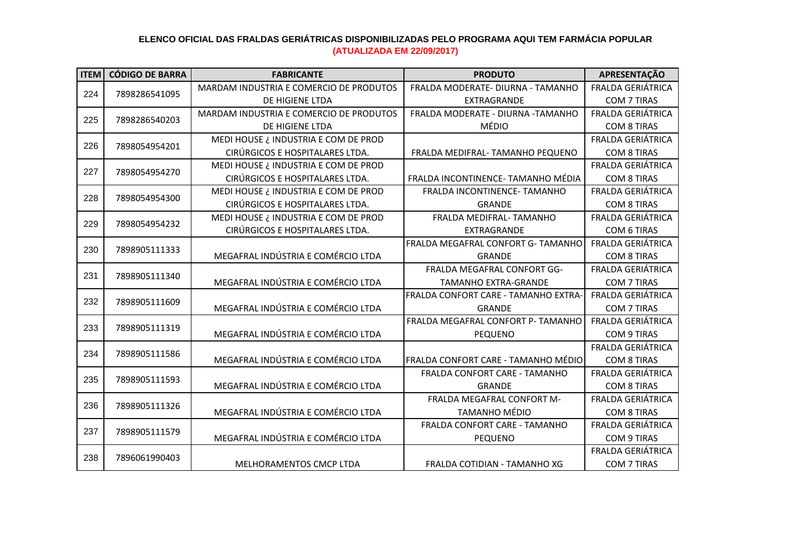| <b>ITEM</b> | <b>CÓDIGO DE BARRA</b> | <b>FABRICANTE</b>                       | <b>PRODUTO</b>                       | APRESENTAÇÃO             |
|-------------|------------------------|-----------------------------------------|--------------------------------------|--------------------------|
|             |                        | MARDAM INDUSTRIA E COMERCIO DE PRODUTOS | FRALDA MODERATE- DIURNA - TAMANHO    | <b>FRALDA GERIÁTRICA</b> |
| 224         | 7898286541095          | DE HIGIENE LTDA                         | EXTRAGRANDE                          | COM 7 TIRAS              |
| 225         | 7898286540203          | MARDAM INDUSTRIA E COMERCIO DE PRODUTOS | FRALDA MODERATE - DIURNA -TAMANHO    | FRALDA GERIÁTRICA        |
|             |                        | DE HIGIENE LTDA                         | MÉDIO                                | <b>COM 8 TIRAS</b>       |
| 226         |                        | MEDI HOUSE ¿ INDUSTRIA E COM DE PROD    |                                      | <b>FRALDA GERIÁTRICA</b> |
|             | 7898054954201          | CIRÚRGICOS E HOSPITALARES LTDA.         | FRALDA MEDIFRAL- TAMANHO PEQUENO     | <b>COM 8 TIRAS</b>       |
| 227         |                        | MEDI HOUSE ¿ INDUSTRIA E COM DE PROD    |                                      | <b>FRALDA GERIÁTRICA</b> |
|             | 7898054954270          | CIRÚRGICOS E HOSPITALARES LTDA.         | FRALDA INCONTINENCE- TAMANHO MÉDIA   | <b>COM 8 TIRAS</b>       |
| 228         |                        | MEDI HOUSE ¿ INDUSTRIA E COM DE PROD    | FRALDA INCONTINENCE-TAMANHO          | <b>FRALDA GERIÁTRICA</b> |
|             | 7898054954300          | CIRÚRGICOS E HOSPITALARES LTDA.         | <b>GRANDE</b>                        | <b>COM 8 TIRAS</b>       |
| 229         |                        | MEDI HOUSE ¿ INDUSTRIA E COM DE PROD    | FRALDA MEDIFRAL- TAMANHO             | FRALDA GERIÁTRICA        |
|             | 7898054954232          | CIRÚRGICOS E HOSPITALARES LTDA.         | EXTRAGRANDE                          | COM 6 TIRAS              |
| 230         | 7898905111333          |                                         | FRALDA MEGAFRAL CONFORT G- TAMANHO   | FRALDA GERIÁTRICA        |
|             |                        | MEGAFRAL INDÚSTRIA E COMÉRCIO LTDA      | <b>GRANDE</b>                        | <b>COM 8 TIRAS</b>       |
| 231         | 7898905111340          |                                         | FRALDA MEGAFRAL CONFORT GG-          | FRALDA GERIÁTRICA        |
|             |                        | MEGAFRAL INDÚSTRIA E COMÉRCIO LTDA      | <b>TAMANHO EXTRA-GRANDE</b>          | <b>COM 7 TIRAS</b>       |
| 232         | 7898905111609          |                                         | FRALDA CONFORT CARE - TAMANHO EXTRA- | <b>FRALDA GERIÁTRICA</b> |
|             |                        | MEGAFRAL INDÚSTRIA E COMÉRCIO LTDA      | <b>GRANDE</b>                        | <b>COM 7 TIRAS</b>       |
| 233         | 7898905111319          |                                         | FRALDA MEGAFRAL CONFORT P- TAMANHO   | FRALDA GERIÁTRICA        |
|             |                        | MEGAFRAL INDÚSTRIA E COMÉRCIO LTDA      | <b>PEQUENO</b>                       | <b>COM 9 TIRAS</b>       |
| 234         | 7898905111586          |                                         |                                      | <b>FRALDA GERIÁTRICA</b> |
|             |                        | MEGAFRAL INDÚSTRIA E COMÉRCIO LTDA      | FRALDA CONFORT CARE - TAMANHO MÉDIO  | <b>COM 8 TIRAS</b>       |
| 235         | 7898905111593          |                                         | FRALDA CONFORT CARE - TAMANHO        | FRALDA GERIÁTRICA        |
|             |                        | MEGAFRAL INDÚSTRIA E COMÉRCIO LTDA      | <b>GRANDE</b>                        | <b>COM 8 TIRAS</b>       |
| 236         | 7898905111326          |                                         | FRALDA MEGAFRAL CONFORT M-           | FRALDA GERIÁTRICA        |
|             |                        | MEGAFRAL INDÚSTRIA E COMÉRCIO LTDA      | <b>TAMANHO MÉDIO</b>                 | <b>COM 8 TIRAS</b>       |
| 237         | 7898905111579          |                                         | FRALDA CONFORT CARE - TAMANHO        | <b>FRALDA GERIÁTRICA</b> |
|             |                        | MEGAFRAL INDÚSTRIA E COMÉRCIO LTDA      | <b>PEQUENO</b>                       | <b>COM 9 TIRAS</b>       |
| 238         | 7896061990403          |                                         |                                      | FRALDA GERIÁTRICA        |
|             |                        | <b>MELHORAMENTOS CMCP LTDA</b>          | FRALDA COTIDIAN - TAMANHO XG         | COM 7 TIRAS              |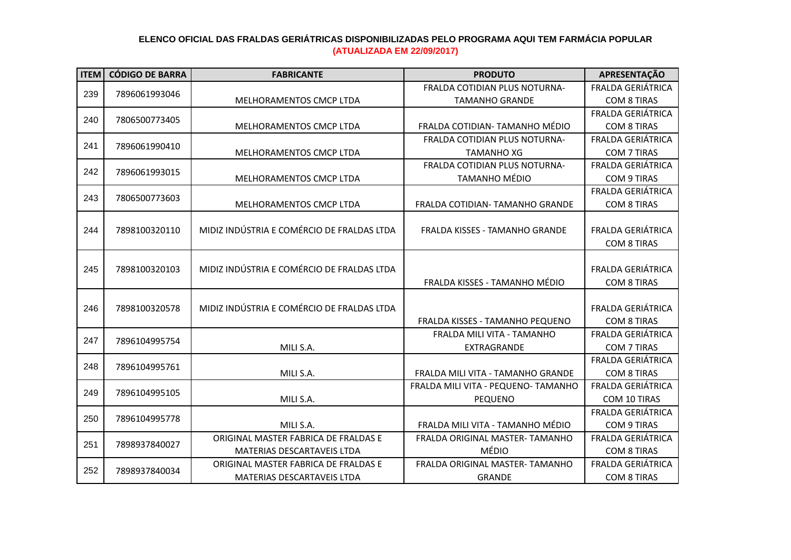| <b>ITEM</b> | <b>CÓDIGO DE BARRA</b> | <b>FABRICANTE</b>                          | <b>PRODUTO</b>                      | APRESENTAÇÃO             |
|-------------|------------------------|--------------------------------------------|-------------------------------------|--------------------------|
|             |                        |                                            | FRALDA COTIDIAN PLUS NOTURNA-       | <b>FRALDA GERIÁTRICA</b> |
| 239         | 7896061993046          | MELHORAMENTOS CMCP LTDA                    | <b>TAMANHO GRANDE</b>               | <b>COM 8 TIRAS</b>       |
|             |                        |                                            |                                     | FRALDA GERIÁTRICA        |
| 240         | 7806500773405          | MELHORAMENTOS CMCP LTDA                    | FRALDA COTIDIAN- TAMANHO MÉDIO      | <b>COM 8 TIRAS</b>       |
| 241         | 7896061990410          |                                            | FRALDA COTIDIAN PLUS NOTURNA-       | <b>FRALDA GERIÁTRICA</b> |
|             |                        | <b>MELHORAMENTOS CMCP LTDA</b>             | <b>TAMANHO XG</b>                   | <b>COM 7 TIRAS</b>       |
| 242         | 7896061993015          |                                            | FRALDA COTIDIAN PLUS NOTURNA-       | <b>FRALDA GERIÁTRICA</b> |
|             |                        | <b>MELHORAMENTOS CMCP LTDA</b>             | <b>TAMANHO MÉDIO</b>                | COM 9 TIRAS              |
| 243         | 7806500773603          |                                            |                                     | <b>FRALDA GERIÁTRICA</b> |
|             |                        | MELHORAMENTOS CMCP LTDA                    | FRALDA COTIDIAN- TAMANHO GRANDE     | <b>COM 8 TIRAS</b>       |
|             |                        |                                            |                                     |                          |
| 244         | 7898100320110          | MIDIZ INDÚSTRIA E COMÉRCIO DE FRALDAS LTDA | FRALDA KISSES - TAMANHO GRANDE      | FRALDA GERIÁTRICA        |
|             |                        |                                            |                                     | <b>COM 8 TIRAS</b>       |
|             |                        |                                            |                                     |                          |
| 245         | 7898100320103          | MIDIZ INDÚSTRIA E COMÉRCIO DE FRALDAS LTDA |                                     | <b>FRALDA GERIÁTRICA</b> |
|             |                        |                                            | FRALDA KISSES - TAMANHO MÉDIO       | <b>COM 8 TIRAS</b>       |
|             |                        |                                            |                                     |                          |
| 246         | 7898100320578          | MIDIZ INDÚSTRIA E COMÉRCIO DE FRALDAS LTDA |                                     | FRALDA GERIÁTRICA        |
|             |                        |                                            | FRALDA KISSES - TAMANHO PEQUENO     | <b>COM 8 TIRAS</b>       |
| 247         | 7896104995754          |                                            | FRALDA MILI VITA - TAMANHO          | FRALDA GERIÁTRICA        |
|             |                        | MILI S.A.                                  | <b>EXTRAGRANDE</b>                  | <b>COM 7 TIRAS</b>       |
| 248         | 7896104995761          |                                            |                                     | <b>FRALDA GERIÁTRICA</b> |
|             |                        | MILI S.A.                                  | FRALDA MILI VITA - TAMANHO GRANDE   | <b>COM 8 TIRAS</b>       |
| 249         | 7896104995105          |                                            | FRALDA MILI VITA - PEQUENO- TAMANHO | <b>FRALDA GERIÁTRICA</b> |
|             |                        | MILI S.A.                                  | <b>PEQUENO</b>                      | COM 10 TIRAS             |
| 250         | 7896104995778          |                                            |                                     | FRALDA GERIÁTRICA        |
|             |                        | MILI S.A.                                  | FRALDA MILI VITA - TAMANHO MÉDIO    | <b>COM 9 TIRAS</b>       |
| 251         | 7898937840027          | ORIGINAL MASTER FABRICA DE FRALDAS E       | FRALDA ORIGINAL MASTER- TAMANHO     | <b>FRALDA GERIÁTRICA</b> |
|             |                        | MATERIAS DESCARTAVEIS LTDA                 | <b>MÉDIO</b>                        | <b>COM 8 TIRAS</b>       |
| 252         | 7898937840034          | ORIGINAL MASTER FABRICA DE FRALDAS E       | FRALDA ORIGINAL MASTER- TAMANHO     | <b>FRALDA GERIÁTRICA</b> |
|             |                        | MATERIAS DESCARTAVEIS LTDA                 | <b>GRANDE</b>                       | <b>COM 8 TIRAS</b>       |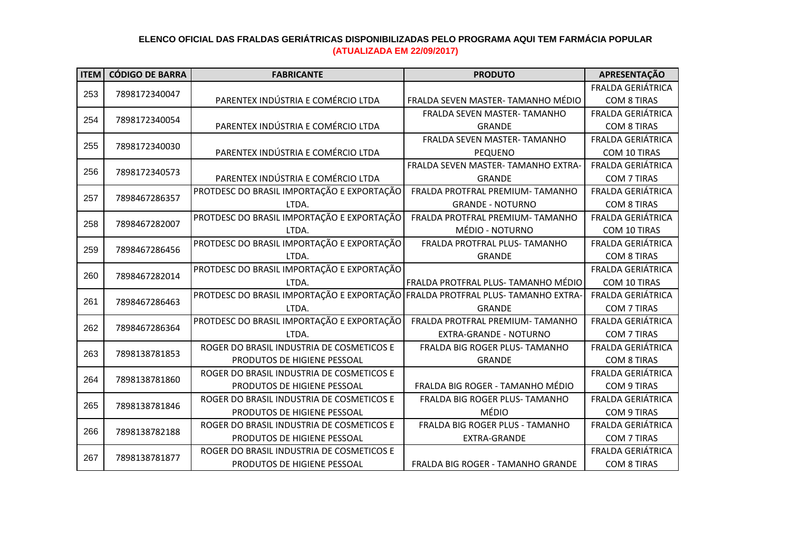| <b>ITEM</b> | <b>CÓDIGO DE BARRA</b>                                                                                                                                                                                                                                                                                                                       | <b>FABRICANTE</b>                          | <b>PRODUTO</b>                                                                                                                                                                                                                                                                                                                                                                                                                                | APRESENTAÇÃO             |
|-------------|----------------------------------------------------------------------------------------------------------------------------------------------------------------------------------------------------------------------------------------------------------------------------------------------------------------------------------------------|--------------------------------------------|-----------------------------------------------------------------------------------------------------------------------------------------------------------------------------------------------------------------------------------------------------------------------------------------------------------------------------------------------------------------------------------------------------------------------------------------------|--------------------------|
|             |                                                                                                                                                                                                                                                                                                                                              |                                            |                                                                                                                                                                                                                                                                                                                                                                                                                                               | <b>FRALDA GERIÁTRICA</b> |
| 253         | 7898172340047                                                                                                                                                                                                                                                                                                                                | PARENTEX INDÚSTRIA E COMÉRCIO LTDA         | FRALDA SEVEN MASTER- TAMANHO MÉDIO                                                                                                                                                                                                                                                                                                                                                                                                            | <b>COM 8 TIRAS</b>       |
|             |                                                                                                                                                                                                                                                                                                                                              |                                            | FRALDA SEVEN MASTER-TAMANHO                                                                                                                                                                                                                                                                                                                                                                                                                   | <b>FRALDA GERIÁTRICA</b> |
|             |                                                                                                                                                                                                                                                                                                                                              | PARENTEX INDÚSTRIA E COMÉRCIO LTDA         | <b>GRANDE</b>                                                                                                                                                                                                                                                                                                                                                                                                                                 | <b>COM 8 TIRAS</b>       |
|             |                                                                                                                                                                                                                                                                                                                                              |                                            | FRALDA SEVEN MASTER- TAMANHO                                                                                                                                                                                                                                                                                                                                                                                                                  | <b>FRALDA GERIÁTRICA</b> |
|             |                                                                                                                                                                                                                                                                                                                                              | PARENTEX INDÚSTRIA E COMÉRCIO LTDA         | <b>PEQUENO</b>                                                                                                                                                                                                                                                                                                                                                                                                                                | COM 10 TIRAS             |
|             |                                                                                                                                                                                                                                                                                                                                              |                                            | FRALDA SEVEN MASTER- TAMANHO EXTRA-                                                                                                                                                                                                                                                                                                                                                                                                           | <b>FRALDA GERIÁTRICA</b> |
|             |                                                                                                                                                                                                                                                                                                                                              | PARENTEX INDÚSTRIA E COMÉRCIO LTDA         | <b>GRANDE</b>                                                                                                                                                                                                                                                                                                                                                                                                                                 | <b>COM 7 TIRAS</b>       |
|             |                                                                                                                                                                                                                                                                                                                                              | PROTDESC DO BRASIL IMPORTAÇÃO E EXPORTAÇÃO | FRALDA PROTFRAL PREMIUM-TAMANHO                                                                                                                                                                                                                                                                                                                                                                                                               | <b>FRALDA GERIÁTRICA</b> |
|             |                                                                                                                                                                                                                                                                                                                                              | LTDA.                                      | <b>GRANDE - NOTURNO</b>                                                                                                                                                                                                                                                                                                                                                                                                                       | <b>COM 8 TIRAS</b>       |
|             |                                                                                                                                                                                                                                                                                                                                              | PROTDESC DO BRASIL IMPORTAÇÃO E EXPORTAÇÃO | FRALDA PROTFRAL PREMIUM-TAMANHO                                                                                                                                                                                                                                                                                                                                                                                                               | FRALDA GERIÁTRICA        |
|             |                                                                                                                                                                                                                                                                                                                                              | LTDA.                                      | MÉDIO - NOTURNO                                                                                                                                                                                                                                                                                                                                                                                                                               | COM 10 TIRAS             |
|             |                                                                                                                                                                                                                                                                                                                                              | PROTDESC DO BRASIL IMPORTAÇÃO E EXPORTAÇÃO | FRALDA PROTFRAL PLUS- TAMANHO                                                                                                                                                                                                                                                                                                                                                                                                                 | <b>FRALDA GERIÁTRICA</b> |
|             |                                                                                                                                                                                                                                                                                                                                              | LTDA.                                      | <b>GRANDE</b><br>FRALDA PROTFRAL PLUS- TAMANHO MÉDIO<br>LTDA.<br>FRALDA PROTFRAL PLUS- TAMANHO EXTRA-<br>LTDA.<br><b>GRANDE</b><br>FRALDA PROTFRAL PREMIUM-TAMANHO<br>LTDA.<br><b>EXTRA-GRANDE - NOTURNO</b><br>FRALDA BIG ROGER PLUS- TAMANHO<br><b>GRANDE</b><br>FRALDA BIG ROGER - TAMANHO MÉDIO<br>FRALDA BIG ROGER PLUS- TAMANHO<br>MÉDIO<br>FRALDA BIG ROGER PLUS - TAMANHO<br>EXTRA-GRANDE<br><b>FRALDA BIG ROGER - TAMANHO GRANDE</b> | <b>COM 8 TIRAS</b>       |
|             |                                                                                                                                                                                                                                                                                                                                              | PROTDESC DO BRASIL IMPORTAÇÃO E EXPORTAÇÃO |                                                                                                                                                                                                                                                                                                                                                                                                                                               | <b>FRALDA GERIÁTRICA</b> |
|             |                                                                                                                                                                                                                                                                                                                                              |                                            |                                                                                                                                                                                                                                                                                                                                                                                                                                               | COM 10 TIRAS             |
|             |                                                                                                                                                                                                                                                                                                                                              | PROTDESC DO BRASIL IMPORTAÇÃO E EXPORTAÇÃO |                                                                                                                                                                                                                                                                                                                                                                                                                                               | <b>FRALDA GERIÁTRICA</b> |
|             |                                                                                                                                                                                                                                                                                                                                              |                                            |                                                                                                                                                                                                                                                                                                                                                                                                                                               | COM 7 TIRAS              |
|             |                                                                                                                                                                                                                                                                                                                                              | PROTDESC DO BRASIL IMPORTAÇÃO E EXPORTAÇÃO |                                                                                                                                                                                                                                                                                                                                                                                                                                               | FRALDA GERIÁTRICA        |
|             |                                                                                                                                                                                                                                                                                                                                              |                                            |                                                                                                                                                                                                                                                                                                                                                                                                                                               | COM 7 TIRAS              |
|             |                                                                                                                                                                                                                                                                                                                                              | ROGER DO BRASIL INDUSTRIA DE COSMETICOS E  |                                                                                                                                                                                                                                                                                                                                                                                                                                               | <b>FRALDA GERIÁTRICA</b> |
|             |                                                                                                                                                                                                                                                                                                                                              | PRODUTOS DE HIGIENE PESSOAL                |                                                                                                                                                                                                                                                                                                                                                                                                                                               | <b>COM 8 TIRAS</b>       |
|             |                                                                                                                                                                                                                                                                                                                                              | ROGER DO BRASIL INDUSTRIA DE COSMETICOS E  |                                                                                                                                                                                                                                                                                                                                                                                                                                               | <b>FRALDA GERIÁTRICA</b> |
|             |                                                                                                                                                                                                                                                                                                                                              | PRODUTOS DE HIGIENE PESSOAL                |                                                                                                                                                                                                                                                                                                                                                                                                                                               | <b>COM 9 TIRAS</b>       |
|             |                                                                                                                                                                                                                                                                                                                                              | ROGER DO BRASIL INDUSTRIA DE COSMETICOS E  |                                                                                                                                                                                                                                                                                                                                                                                                                                               | FRALDA GERIÁTRICA        |
|             |                                                                                                                                                                                                                                                                                                                                              | PRODUTOS DE HIGIENE PESSOAL                |                                                                                                                                                                                                                                                                                                                                                                                                                                               | <b>COM 9 TIRAS</b>       |
|             |                                                                                                                                                                                                                                                                                                                                              | ROGER DO BRASIL INDUSTRIA DE COSMETICOS E  |                                                                                                                                                                                                                                                                                                                                                                                                                                               | FRALDA GERIÁTRICA        |
|             |                                                                                                                                                                                                                                                                                                                                              | PRODUTOS DE HIGIENE PESSOAL                |                                                                                                                                                                                                                                                                                                                                                                                                                                               | <b>COM 7 TIRAS</b>       |
|             | 254<br>7898172340054<br>255<br>7898172340030<br>256<br>7898172340573<br>257<br>7898467286357<br>258<br>7898467282007<br>259<br>7898467286456<br>7898467282014<br>260<br>261<br>7898467286463<br>262<br>7898467286364<br>263<br>7898138781853<br>264<br>7898138781860<br>265<br>7898138781846<br>7898138782188<br>266<br>267<br>7898138781877 | ROGER DO BRASIL INDUSTRIA DE COSMETICOS E  |                                                                                                                                                                                                                                                                                                                                                                                                                                               | FRALDA GERIÁTRICA        |
|             |                                                                                                                                                                                                                                                                                                                                              | PRODUTOS DE HIGIENE PESSOAL                |                                                                                                                                                                                                                                                                                                                                                                                                                                               | <b>COM 8 TIRAS</b>       |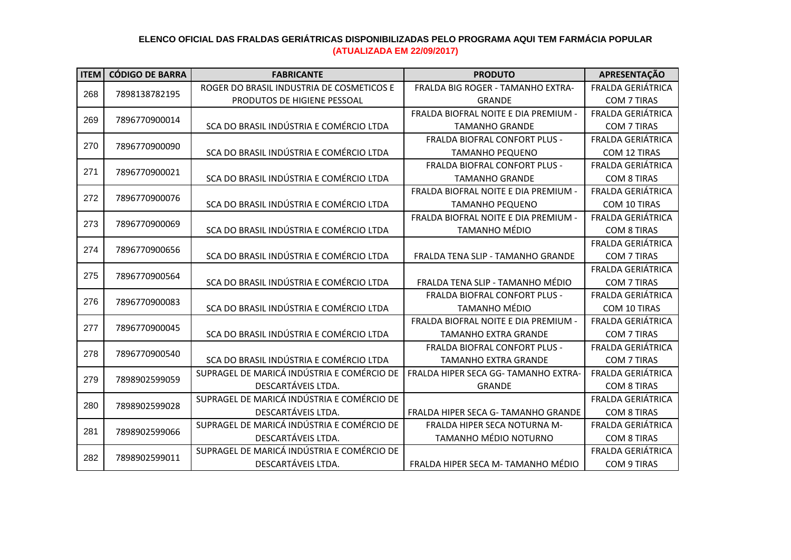| <b>ITEM</b> | <b>CÓDIGO DE BARRA</b> | <b>FABRICANTE</b>                          | <b>PRODUTO</b>                           | APRESENTAÇÃO             |
|-------------|------------------------|--------------------------------------------|------------------------------------------|--------------------------|
| 268         |                        | ROGER DO BRASIL INDUSTRIA DE COSMETICOS E  | <b>FRALDA BIG ROGER - TAMANHO EXTRA-</b> | FRALDA GERIÁTRICA        |
|             | 7898138782195          | PRODUTOS DE HIGIENE PESSOAL                | <b>GRANDE</b>                            | COM 7 TIRAS              |
| 269         | 7896770900014          |                                            | FRALDA BIOFRAL NOITE E DIA PREMIUM -     | <b>FRALDA GERIÁTRICA</b> |
|             |                        | SCA DO BRASIL INDÚSTRIA E COMÉRCIO LTDA    | <b>TAMANHO GRANDE</b>                    | COM 7 TIRAS              |
| 270         | 7896770900090          |                                            | FRALDA BIOFRAL CONFORT PLUS -            | <b>FRALDA GERIÁTRICA</b> |
|             |                        | SCA DO BRASIL INDÚSTRIA E COMÉRCIO LTDA    | <b>TAMANHO PEQUENO</b>                   | COM 12 TIRAS             |
| 271         | 7896770900021          |                                            | FRALDA BIOFRAL CONFORT PLUS -            | <b>FRALDA GERIÁTRICA</b> |
|             |                        | SCA DO BRASIL INDÚSTRIA E COMÉRCIO LTDA    | <b>TAMANHO GRANDE</b>                    | <b>COM 8 TIRAS</b>       |
| 272         | 7896770900076          |                                            | FRALDA BIOFRAL NOITE E DIA PREMIUM -     | <b>FRALDA GERIÁTRICA</b> |
|             |                        | SCA DO BRASIL INDÚSTRIA E COMÉRCIO LTDA    | <b>TAMANHO PEQUENO</b>                   | COM 10 TIRAS             |
| 273         | 7896770900069          |                                            | FRALDA BIOFRAL NOITE E DIA PREMIUM -     | <b>FRALDA GERIÁTRICA</b> |
|             |                        | SCA DO BRASIL INDÚSTRIA E COMÉRCIO LTDA    | TAMANHO MÉDIO                            | <b>COM 8 TIRAS</b>       |
|             |                        |                                            |                                          | FRALDA GERIÁTRICA        |
|             | 274<br>7896770900656   | SCA DO BRASIL INDÚSTRIA E COMÉRCIO LTDA    | FRALDA TENA SLIP - TAMANHO GRANDE        | <b>COM 7 TIRAS</b>       |
| 275         | 7896770900564          |                                            |                                          | <b>FRALDA GERIÁTRICA</b> |
|             |                        | SCA DO BRASIL INDÚSTRIA E COMÉRCIO LTDA    | FRALDA TENA SLIP - TAMANHO MÉDIO         | <b>COM 7 TIRAS</b>       |
| 276         | 7896770900083          |                                            | FRALDA BIOFRAL CONFORT PLUS -            | <b>FRALDA GERIÁTRICA</b> |
|             |                        | SCA DO BRASIL INDÚSTRIA E COMÉRCIO LTDA    | <b>TAMANHO MÉDIO</b>                     | COM 10 TIRAS             |
| 277         | 7896770900045          |                                            | FRALDA BIOFRAL NOITE E DIA PREMIUM -     | FRALDA GERIÁTRICA        |
|             |                        | SCA DO BRASIL INDÚSTRIA E COMÉRCIO LTDA    | <b>TAMANHO EXTRA GRANDE</b>              | COM 7 TIRAS              |
| 278         | 7896770900540          |                                            | <b>FRALDA BIOFRAL CONFORT PLUS -</b>     | <b>FRALDA GERIÁTRICA</b> |
|             |                        | SCA DO BRASIL INDÚSTRIA E COMÉRCIO LTDA    | <b>TAMANHO EXTRA GRANDE</b>              | COM 7 TIRAS              |
| 279         | 7898902599059          | SUPRAGEL DE MARICÁ INDÚSTRIA E COMÉRCIO DE | FRALDA HIPER SECA GG- TAMANHO EXTRA-     | <b>FRALDA GERIÁTRICA</b> |
|             |                        | DESCARTÁVEIS LTDA.                         | <b>GRANDE</b>                            | <b>COM 8 TIRAS</b>       |
| 280         | 7898902599028          | SUPRAGEL DE MARICÁ INDÚSTRIA E COMÉRCIO DE |                                          | <b>FRALDA GERIÁTRICA</b> |
|             |                        | DESCARTÁVEIS LTDA.                         | FRALDA HIPER SECA G- TAMANHO GRANDE      | <b>COM 8 TIRAS</b>       |
| 281         | 7898902599066          | SUPRAGEL DE MARICÁ INDÚSTRIA E COMÉRCIO DE | <b>FRALDA HIPER SECA NOTURNA M-</b>      | <b>FRALDA GERIÁTRICA</b> |
|             |                        | DESCARTÁVEIS LTDA.                         | TAMANHO MÉDIO NOTURNO                    | <b>COM 8 TIRAS</b>       |
| 282         | 7898902599011          | SUPRAGEL DE MARICÁ INDÚSTRIA E COMÉRCIO DE |                                          | <b>FRALDA GERIÁTRICA</b> |
|             |                        | DESCARTÁVEIS LTDA.                         | FRALDA HIPER SECA M- TAMANHO MÉDIO       | <b>COM 9 TIRAS</b>       |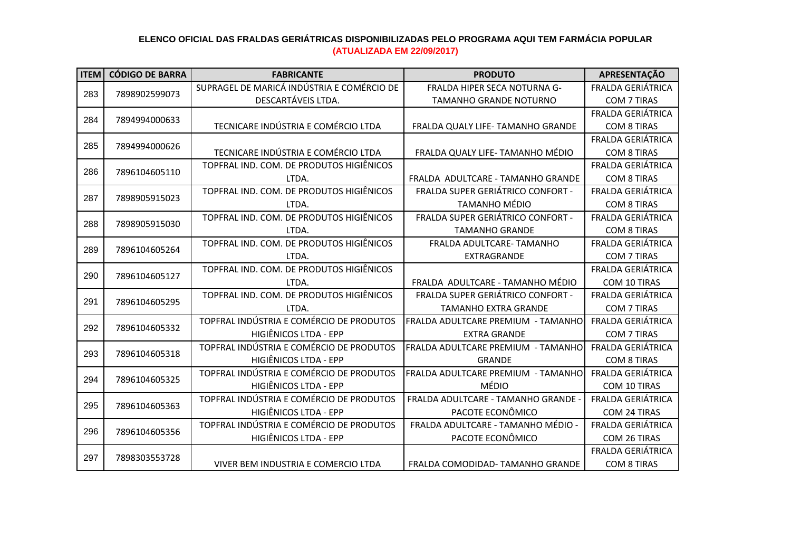| <b>ITEM</b> | <b>CÓDIGO DE BARRA</b> | <b>FABRICANTE</b>                          | <b>PRODUTO</b>                                                                                                                                                                                                                                                                                                                                                                                                                                                   | APRESENTAÇÃO             |
|-------------|------------------------|--------------------------------------------|------------------------------------------------------------------------------------------------------------------------------------------------------------------------------------------------------------------------------------------------------------------------------------------------------------------------------------------------------------------------------------------------------------------------------------------------------------------|--------------------------|
| 283         |                        | SUPRAGEL DE MARICÁ INDÚSTRIA E COMÉRCIO DE | <b>FRALDA HIPER SECA NOTURNA G-</b>                                                                                                                                                                                                                                                                                                                                                                                                                              | <b>FRALDA GERIÁTRICA</b> |
|             | 7898902599073          | DESCARTÁVEIS LTDA.                         | <b>TAMANHO GRANDE NOTURNO</b>                                                                                                                                                                                                                                                                                                                                                                                                                                    | <b>COM 7 TIRAS</b>       |
|             |                        |                                            |                                                                                                                                                                                                                                                                                                                                                                                                                                                                  | <b>FRALDA GERIÁTRICA</b> |
| 284         | 7894994000633          | TECNICARE INDÚSTRIA E COMÉRCIO LTDA        | FRALDA QUALY LIFE- TAMANHO GRANDE                                                                                                                                                                                                                                                                                                                                                                                                                                | <b>COM 8 TIRAS</b>       |
| 285         |                        |                                            |                                                                                                                                                                                                                                                                                                                                                                                                                                                                  | <b>FRALDA GERIÁTRICA</b> |
|             | 7894994000626          | TECNICARE INDÚSTRIA E COMÉRCIO LTDA        | FRALDA QUALY LIFE- TAMANHO MÉDIO                                                                                                                                                                                                                                                                                                                                                                                                                                 | <b>COM 8 TIRAS</b>       |
| 286         | 7896104605110          | TOPFRAL IND. COM. DE PRODUTOS HIGIÊNICOS   |                                                                                                                                                                                                                                                                                                                                                                                                                                                                  | <b>FRALDA GERIÁTRICA</b> |
|             |                        | LTDA.                                      | FRALDA ADULTCARE - TAMANHO GRANDE                                                                                                                                                                                                                                                                                                                                                                                                                                | <b>COM 8 TIRAS</b>       |
| 287         | 7898905915023          | TOPFRAL IND. COM. DE PRODUTOS HIGIÊNICOS   | FRALDA SUPER GERIÁTRICO CONFORT -                                                                                                                                                                                                                                                                                                                                                                                                                                | FRALDA GERIÁTRICA        |
|             |                        | LTDA.                                      | <b>TAMANHO MÉDIO</b>                                                                                                                                                                                                                                                                                                                                                                                                                                             | <b>COM 8 TIRAS</b>       |
| 288         | 7898905915030          | TOPFRAL IND. COM. DE PRODUTOS HIGIÊNICOS   | FRALDA SUPER GERIÁTRICO CONFORT -                                                                                                                                                                                                                                                                                                                                                                                                                                | FRALDA GERIÁTRICA        |
|             |                        | LTDA.                                      | <b>TAMANHO GRANDE</b>                                                                                                                                                                                                                                                                                                                                                                                                                                            | <b>COM 8 TIRAS</b>       |
| 289         | 7896104605264          | TOPFRAL IND. COM. DE PRODUTOS HIGIÊNICOS   | FRALDA ADULTCARE- TAMANHO                                                                                                                                                                                                                                                                                                                                                                                                                                        | <b>FRALDA GERIÁTRICA</b> |
|             |                        | LTDA.                                      | EXTRAGRANDE<br>FRALDA ADULTCARE - TAMANHO MÉDIO<br>LTDA.<br>FRALDA SUPER GERIÁTRICO CONFORT -<br><b>TAMANHO EXTRA GRANDE</b><br>LTDA.<br>FRALDA ADULTCARE PREMIUM - TAMANHO<br><b>EXTRA GRANDE</b><br>FRALDA ADULTCARE PREMIUM - TAMANHO<br><b>GRANDE</b><br>FRALDA ADULTCARE PREMIUM - TAMANHO<br>MÉDIO<br>FRALDA ADULTCARE - TAMANHO GRANDE -<br>PACOTE ECONÔMICO<br>FRALDA ADULTCARE - TAMANHO MÉDIO -<br>PACOTE ECONÔMICO<br>FRALDA COMODIDAD-TAMANHO GRANDE | <b>COM 7 TIRAS</b>       |
| 290         | 7896104605127          | TOPFRAL IND. COM. DE PRODUTOS HIGIÊNICOS   |                                                                                                                                                                                                                                                                                                                                                                                                                                                                  | <b>FRALDA GERIÁTRICA</b> |
|             |                        |                                            |                                                                                                                                                                                                                                                                                                                                                                                                                                                                  | COM 10 TIRAS             |
|             | 291<br>7896104605295   | TOPFRAL IND. COM. DE PRODUTOS HIGIÊNICOS   |                                                                                                                                                                                                                                                                                                                                                                                                                                                                  | <b>FRALDA GERIÁTRICA</b> |
|             |                        |                                            |                                                                                                                                                                                                                                                                                                                                                                                                                                                                  | <b>COM 7 TIRAS</b>       |
| 292         | 7896104605332          | TOPFRAL INDÚSTRIA E COMÉRCIO DE PRODUTOS   |                                                                                                                                                                                                                                                                                                                                                                                                                                                                  | <b>FRALDA GERIÁTRICA</b> |
|             |                        | HIGIÊNICOS LTDA - EPP                      |                                                                                                                                                                                                                                                                                                                                                                                                                                                                  | <b>COM 7 TIRAS</b>       |
| 293         | 7896104605318          | TOPFRAL INDÚSTRIA E COMÉRCIO DE PRODUTOS   |                                                                                                                                                                                                                                                                                                                                                                                                                                                                  | <b>FRALDA GERIÁTRICA</b> |
|             |                        | HIGIÊNICOS LTDA - EPP                      |                                                                                                                                                                                                                                                                                                                                                                                                                                                                  | <b>COM 8 TIRAS</b>       |
| 294         | 7896104605325          | TOPFRAL INDÚSTRIA E COMÉRCIO DE PRODUTOS   |                                                                                                                                                                                                                                                                                                                                                                                                                                                                  | <b>FRALDA GERIÁTRICA</b> |
|             |                        | HIGIÊNICOS LTDA - EPP                      |                                                                                                                                                                                                                                                                                                                                                                                                                                                                  | COM 10 TIRAS             |
| 295         | 7896104605363          | TOPFRAL INDÚSTRIA E COMÉRCIO DE PRODUTOS   |                                                                                                                                                                                                                                                                                                                                                                                                                                                                  | <b>FRALDA GERIÁTRICA</b> |
|             |                        | HIGIÊNICOS LTDA - EPP                      |                                                                                                                                                                                                                                                                                                                                                                                                                                                                  | COM 24 TIRAS             |
| 296         | 7896104605356          | TOPFRAL INDÚSTRIA E COMÉRCIO DE PRODUTOS   |                                                                                                                                                                                                                                                                                                                                                                                                                                                                  | FRALDA GERIÁTRICA        |
|             |                        | HIGIÊNICOS LTDA - EPP                      |                                                                                                                                                                                                                                                                                                                                                                                                                                                                  | COM 26 TIRAS             |
| 297         | 7898303553728          |                                            |                                                                                                                                                                                                                                                                                                                                                                                                                                                                  | <b>FRALDA GERIÁTRICA</b> |
|             |                        | VIVER BEM INDUSTRIA E COMERCIO LTDA        |                                                                                                                                                                                                                                                                                                                                                                                                                                                                  | <b>COM 8 TIRAS</b>       |